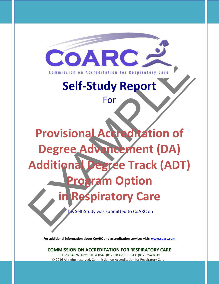

**For additional information about CoARC and accreditation services visit: [www.coarc.com](http://www.coarc.com/)**

**COMMISSION ON ACCREDITATION FOR RESPIRATORY CARE**

PO Box 54876 Hurst, TX 76054 (817) 283-2835 FAX: (817) 354-8519 © 2016 All rights reserved. Commission on Accreditation for Respiratory Care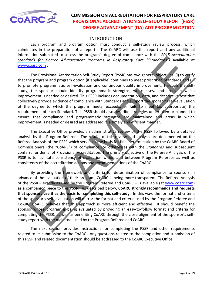<span id="page-1-0"></span>

#### INTRODUCTION

Each program and program option must conduct a self-study review process, which culminates in the preparation of a report. The CoARC will use this report and any additional information submitted to assess the program's degree of compliance with the *2015 Accreditation Standards for Degree Advancement Programs in Respiratory Care ("Standards")* available at [www.coarc.com .](http://www.coarc.com/29.html)

The Provisional Accreditation Self-Study Report (PSSR) has two general objectives: (i) to verify that the program and program option (if applicable) continues to meet prescribed Standards and (ii) to promote programmatic self-evaluation and continuous quality improvement. Through the selfstudy, the sponsor should identify programmatic strengths, weaknesses, and areas in which improvement is needed or desired. This PSSR includes documentation, data, and descriptive text that collectively provide evidence of compliance with Standards and support the sponsor's self-evaluation of the degree to which the program meets, exceeds, or fails to meet (as appropriate) the requirements of each Standard. This PSSR should also describe strategies undertaken or planned to ensure that compliance and programmatic strengths are maintained and areas in which improvement is needed or desired are addressed in a timely and efficient manner.

The Executive Office provides an administrative review of the PSSR followed by a detailed analysis by the Program Referee. The results of this review and analysis are documented on the Referee Analysis of the PSSR which serves as the basis for final determination by the CoARC Board of Commissioners (the "CoARC") of compliance (or otherwise) with the *Standards* and subsequent conferral or denial of Provisional Accreditation. The primary objective of the Referee Analysis of the PSSR is to facilitate consistency of evaluation within and between Program Referees as well as consistency of the accreditation actions and recommendations of the CoARC.

and the same that consists with programmatic strep. This was the consistence of the properties with the program and programmatic self-extuality Report (PSSR) has two general abjectives: (i) to version the Program and progr By providing the framework and criteria for determination of compliance to sponsors in advance of the evaluation of their program, CoARC is being more transparent. The Referee Analysis of the PSSR – exactly as used by the Program Referee and CoARC – is available (at www.coarc.com) as a companion piece to this PSSR. As described below, **CoARC strongly recommends and requests that sponsors use it as the basis for completing this self-study.** In this way, the format and criteria of the sponsor's self–evaluation will mirror the format and criteria used by the Program Referee and CoARC. CoARC believes that this approach is more efficient and effective. It should benefit the sponsor whose program is being evaluated by providing an easy-to-follow format and criteria for completing the PSSR, as well as benefiting CoARC through the close alignment of the sponsor's selfstudy report with the main tool used by the Program Referee and CoARC.

The next section provides instructions for completing the PSSR and other requirements related to its submission to the CoARC. Any questions related to the completion and submission of this PSSR and related documentation should be addressed to the CoARC Executive Office.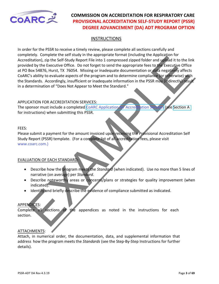

#### **INSTRUCTIONS**

eter, complete the Set start of the amount involvement (who are the mathematic and the instruction of the Set start of the Set start of the Set start of the Set start of the Set start of the Set start of the Set start of t In order for the PSSR to receive a timely review, please complete all sections carefully and completely. Complete the self study in the appropriate format (including the Application for Accreditation), zip the Self-Study Report File into 1 compressed zipped folder and upload it to the link provided by the Executive Office. Do not forget to send the appropriate fees to the Executive Office at PO Box 54876, Hurst, TX 76054. Missing or inadequate documentation or data negatively affects CoARC's ability to evaluate aspects of the program and to determine compliance (or otherwise) with the Standards. Accordingly, insufficient or inadequate information in the PSSR may (indirectly) result in a determination of "Does Not Appear to Meet the Standard."

#### APPLICATION FOR ACCREDITATION SERVICES:

The sponsor must include a completed CoARC Application for Accreditation Services (see Section A for instructions) when submitting this PSSR.

#### FEES:

Please submit a payment for the amount invoiced upon receiving the Provisional Accreditation Self Study Report (PSSR) template. (For a complete list of all accreditation fees, please visit www.coarc.com.)

#### EVALUATION OF EACH STANDARD:

- Describe how the program meets the *Standard* (when indicated). Use no more than 5 lines of narrative (on average) per *Standard*.
- Describe noteworthy areas or concerns/plans or strategies for quality improvement (when indicated).
- Identify and briefly describe the evidence of compliance submitted as indicated.

#### APPENDICES:

Complete all sections of the appendices as noted in the instructions for each section.

#### ATTACHMENTS:

Attach, in numerical order, the documentation, data, and supplemental information that address how the program meets the *Standards* (see the Step-By-Step Instructions for further details).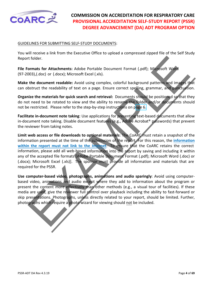

#### GUIDELINES FOR SUBMITTING SELF-STUDY DOCUMENTS:

You will receive a link from the Executive Office to upload a compressed zipped file of the Self Study Report folder.

**File Formats for Attachments:** Adobe Portable Document Format (.pdf); Microsoft Word (97-2003),(.doc) or (.docx); Microsoft Excel (.xls).

**Make the document readable:** Avoid using complex, colorful background patterns and images that can obstruct the readability of text on a page. Ensure correct spelling, grammar, and punctuation.

**Organize the materials for quick search and retrieval:** Documents should be positioned so that they do not need to be rotated to view and the ability to rename the folder and/or documents should not be restricted. Please refer to the step-by-step instructions on page 6.

**Facilitate in-document note taking**: Use applications for presenting text-based documents that allow in-document note taking. Disable document features (e.g., Adobe Acrobat® passwords) that prevent the reviewer from taking notes.

t folder.<br>
In this cost of Attachments: Adobe Portable Document Format (.pdf); Microsoft World<br>
203),(.doc) or (.dock); Microsoft Excel (.ds).<br>
In the courment schalars and images the street (.ds) control background patter **Limit web access or file downloads to optional materials**: The CoARC must retain a snapshot of the information presented at the time of the submission of the report. For this reason, the **information within the report must not link to the Internet**. To ensure that the CoARC retains the correct information, please add all web-based information into the report by saving and including it within any of the accepted file formats [Adobe Portable Document Format (.pdf); Microsoft Word (.doc) or (.docx); Microsoft Excel (.xls)]. The sponsor must provide all information and materials that are required for the PSSR.

**Use computer-based video, photographs, animations and audio sparingly**: Avoid using computerbased video, animations and audio except where they add to information about the program or present the content more effectively than other methods (e.g., a visual tour of facilities). If these media are used, give the reviewer full control over playback including the ability to fast-forward or skip presentations. Photographs, unless directly related to your report, should be limited. Further, photographs which require a photo wizard for viewing should not be included.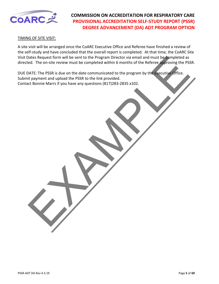

#### TIMING OF SITE VISIT:

A site visit will be arranged once the CoARC Executive Office and Referee have finished a review of the self-study and have concluded that the overall report is completed. At that time, the CoARC Site Visit Dates Request form will be sent to the Program Director via email and must be completed as directed. The on-site review must be completed within 6 months of the Referee approving the PSSR.

Dates Request form will be sent to the Program Director via email and must be completed as<br>ed. The on-site review must be completed within 6 months of the Referee approving the PSS<br>ATE: The PSSR is due on the date communic DUE DATE: The PSSR is due on the date communicated to the program by the Executive Office. Submit payment and upload the PSSR to the link provided. Contact Bonnie Marrs if you have any questions (817)283-2835 x102.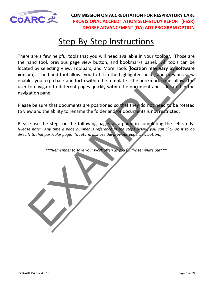<span id="page-5-0"></span>

# **Step-By-Step Instructions**

a reactive heather through the content of the area when the and the state of the state of the state in the state of the state of the state of the state of the state of the state of the state of the state of the state of th There are a few helpful tools that you will need available in your toolbar. Those are the hand tool, previous page view button, and bookmarks panel. All tools can be located by selecting View, Toolbars, and More Tools (**location may vary by software version**). The hand tool allows you to fill in the highlighted fields, and previous view enables you to go back and forth within the template. The bookmark panel allows the user to navigate to different pages quickly within the document and is located in the navigation pane.

Please be sure that documents are positioned so that they do not need to be rotated to view and the ability to rename the folder and/or documents is not restricted.

Please use the steps on the following pages as a guide in completing the self-study. *[Please note: Any time a page number is reference in the steps below, you can click on it to go directly to that particular page. To return, just use the previous page view button.]*

*\*\*\*Remember to save your work often as you fill the template out\*\*\**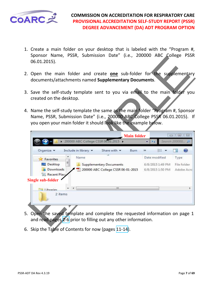

- 1. Create a main folder on your desktop that is labeled with the "Program #, Sponsor Name, PSSR, Submission Date" (i.e., 200000 ABC College PSSR 06.01.2015).
- 2. Open the main folder and create **one** sub-folder for the supplementary documents/attachments named **Supplementary Documents**.
- 3. Save the self-study template sent to you via email to the main folder you created on the desktop.
- 4. Name the self-study template the same as the main folder "Program #, Sponsor Name, PSSR, Submission Date" (i.e., 200000 ABC College PSSR 06.01.2015). If you open your main folder it should look like the example below.

| 06.01.2015).               | Sportsor Name, PSSR, Submission Date (I.e., 200000 ABC College PSSR                                                                                                                                                             |                  |                       |
|----------------------------|---------------------------------------------------------------------------------------------------------------------------------------------------------------------------------------------------------------------------------|------------------|-----------------------|
|                            | Open the main folder and create one sub-folder for the supplementary<br>documents/attachments named Supplementary Documents.                                                                                                    |                  |                       |
| created on the desktop.    | Save the self-study template sent to you via email to the main folder you                                                                                                                                                       |                  |                       |
|                            | Name the self-study template the same as the main folder "Program #, Sponsor<br>Name, PSSR, Submission Date" (i.e., 200000 ABC College PSSR 06.01.2015). If<br>you open your main folder it should look like the example below. |                  |                       |
|                            | <b>Main folder</b>                                                                                                                                                                                                              |                  | $\Sigma$<br>回<br>o II |
|                            | 200000 ABC College CSSR 06:01.2015                                                                                                                                                                                              | $\overline{r}$   | Search 200000 p       |
| Organize v                 | Include in library<br>Share with $\blacktriangledown$<br>Burn                                                                                                                                                                   | <b>主 ▼</b><br>»  |                       |
| Favorites                  | Name                                                                                                                                                                                                                            | Date modified    | Type                  |
| Desktop                    | 티<br>Supplementary Documents                                                                                                                                                                                                    | 6/8/2015 1:49 PM | File folder           |
| Downloads<br>圖 Recent Plac | 200000 ABC College CSSR 06-01-2015                                                                                                                                                                                              | 6/8/2015 1:50 PM | Adobe Acrc            |
| <b>Single sub-folder</b>   |                                                                                                                                                                                                                                 |                  |                       |
| libraries                  | m                                                                                                                                                                                                                               |                  |                       |
| 2 items                    |                                                                                                                                                                                                                                 |                  |                       |
|                            |                                                                                                                                                                                                                                 |                  |                       |

- 5. Open the saved template and complete the requested information on page 1 and read pages 2-6 prior to filling out any other information.
- 6. Skip the Table of Contents for now (pages [11-](#page-10-0)14).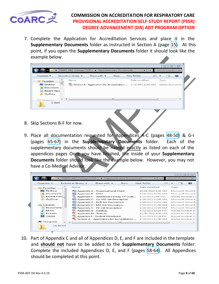

7. Complete the Application for Accreditation Services and place it in the **Supplementary Documents** folder as instructed in Section A (page [15\)](#page-14-0). At this point, if you open the **Supplementary Documents** folder it should look like the example below.

| Organize -                                                                  |   | Include in library | Share with $\blacktriangledown$                                    | Burn    | New folder    | 開三 |                           | $\mathbf{Q}$ |
|-----------------------------------------------------------------------------|---|--------------------|--------------------------------------------------------------------|---------|---------------|----|---------------------------|--------------|
| Favorites<br><b>Desktop</b><br>Downloads<br><b>Recent Place</b><br>SkyDrive |   | Name               | ÷<br>Section A - Application for Accreditation  1/19/2011 11:46 AM |         | Date modified |    | Type.<br>Adobe Acrobat D. |              |
| $1.3$ and $-$                                                               | ٠ |                    |                                                                    | $111 -$ |               |    |                           |              |

- 8. Skip Sections B-F for now.
- 9. Place all documentation requested for Appendices A-C (pages 48-50) & G-I (pages 65-67) in the **Supplementary Documents** folder. Each of the supplementary documents should be named exactly as listed on each of the appendices pages Once you have finished, the inside of your **Supplementary Documents** folder should look like the example below. However, you may not have a Co-Medical Advisor.

| example below.                                               |                                                                                                                                                                                                                                                                                                                                                                               |                                                                                    |
|--------------------------------------------------------------|-------------------------------------------------------------------------------------------------------------------------------------------------------------------------------------------------------------------------------------------------------------------------------------------------------------------------------------------------------------------------------|------------------------------------------------------------------------------------|
|                                                              |                                                                                                                                                                                                                                                                                                                                                                               | $= 12$                                                                             |
|                                                              | 200000 ABC College CSSR > Supplementary Documents                                                                                                                                                                                                                                                                                                                             | Search Supple                                                                      |
| Organize v                                                   | Include in library<br>Share with<br>Burn<br>New folder                                                                                                                                                                                                                                                                                                                        | 明三<br>œ<br>一言                                                                      |
| Favorites                                                    | Name                                                                                                                                                                                                                                                                                                                                                                          | Date modified<br>Type                                                              |
| Ξ<br>Desktop<br>Downloads<br><b>Recent Place</b><br>SkyDrive | Section A - Application for Accreditation  1/19/2011 11:46 AM                                                                                                                                                                                                                                                                                                                 | Adobe Acrobat D.,                                                                  |
| 1 item                                                       |                                                                                                                                                                                                                                                                                                                                                                               |                                                                                    |
|                                                              |                                                                                                                                                                                                                                                                                                                                                                               |                                                                                    |
| have a Co-Medical Advisor.                                   | Place all documentation requested for Appendices A-C (pages 48-50) & G-I<br>(pages 65-67) in the <b>Supplementary Documents</b> folder.<br>supplementary documents should be named exactly as listed on each of the<br>appendices pages Once you have finished, the inside of your Supplementary<br>Documents folder should look like the example below. However, you may not | Each of the                                                                        |
|                                                              |                                                                                                                                                                                                                                                                                                                                                                               | $-1$ $-1$ $-2$                                                                     |
|                                                              | 200000 ABC College CSSR > Supplementary Document                                                                                                                                                                                                                                                                                                                              | جغاب                                                                               |
|                                                              |                                                                                                                                                                                                                                                                                                                                                                               |                                                                                    |
| Organize v                                                   | Include in library *<br>Share with $\blacktriangledown$<br><b>Burn</b><br>Name                                                                                                                                                                                                                                                                                                | New folder<br>国王三<br>œ<br>一日<br>Date modified                                      |
| Favorites                                                    |                                                                                                                                                                                                                                                                                                                                                                               | Туре                                                                               |
| Desktop<br>Downloads                                         | Appendix A - Organizational Chart                                                                                                                                                                                                                                                                                                                                             | 10/28/2010 8:58 AM<br>Microsoft Word 9.<br>1/18/2011 11:09 AM<br>Microsoft Word 9. |
| Recent Place                                                 | Appendix B - RAM<br>Appendix C - Additional Faculty CV Outli                                                                                                                                                                                                                                                                                                                  | 1/11/2011 2:08 PM<br>Adobe Acrobat D.,                                             |
| SkyDrive                                                     | Appendix C - Co-MD Job Description                                                                                                                                                                                                                                                                                                                                            | 1/18/2011 11:06 AM<br>Microsoft Word 9.                                            |
|                                                              |                                                                                                                                                                                                                                                                                                                                                                               |                                                                                    |
| Libraries                                                    | Appendix C - DCE Job Description                                                                                                                                                                                                                                                                                                                                              | 1/18/2011 11:05 AM<br>Microsoft Word 9.                                            |
| Documents                                                    | Appendix C - MD Job Description                                                                                                                                                                                                                                                                                                                                               | 1/18/2011 11:06 AM<br>Microsoft Word 9.                                            |
| Music                                                        | Appendix C - PD Job Description<br>Appendix G - Catalog                                                                                                                                                                                                                                                                                                                       | 1/18/2011 11:06 AM<br>Microsoft Word 9.<br>1/12/2011 12:28 PM<br>Adobe Acrobat D., |
| Pictures                                                     | Appendix H - Policies                                                                                                                                                                                                                                                                                                                                                         | 11/30/2010 9:50 AM<br>Adobe Acrobat D.                                             |
| Videos                                                       | Appendix I - Student Handbook                                                                                                                                                                                                                                                                                                                                                 | 1/12/2011 12:34 PM<br>Adobe Acrobat D.,                                            |
|                                                              | Section A - Application for Accreditation                                                                                                                                                                                                                                                                                                                                     | 1/19/2011 11:46 AM<br>Adobe Acrobat D.                                             |
| <b>L</b> Computer                                            |                                                                                                                                                                                                                                                                                                                                                                               |                                                                                    |
|                                                              |                                                                                                                                                                                                                                                                                                                                                                               |                                                                                    |
| 11 items                                                     |                                                                                                                                                                                                                                                                                                                                                                               |                                                                                    |

10. Part of Appendix C and all of Appendices D, E, and F are included in the template and **should not** have to be added to the **Supplementary Documents** folder. Complete the included Appendices D, E, and F (pages [58-64](#page-57-0)). All Appendices should be completed at this point.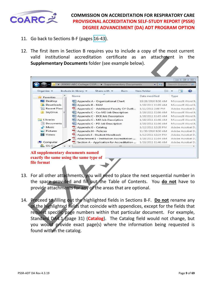

- 11. Go back to Sections B-F (pages [16-43](#page-15-0)).
- 12. The first item in Section B requires you to include a copy of the most current valid institutional accreditation certificate as an attachment in the **Supplementary Documents** folder (see example below).

| valid<br>institutional                                                                      | accreditation<br>certificate<br>as<br>Supplementary Documents folder (see example below). | attachment<br>an                         |                                        |
|---------------------------------------------------------------------------------------------|-------------------------------------------------------------------------------------------|------------------------------------------|----------------------------------------|
|                                                                                             |                                                                                           |                                          | 回忆<br>$=$ $\parallel$                  |
|                                                                                             | College CSSR > Supplementary Documents                                                    | جينان                                    | Search Supple<br>Q                     |
| Organize v                                                                                  | Include in library<br>Share with $\blacktriangledown$<br>Burn                             | New folder<br>睚                          | ø                                      |
| <b>Favorites</b>                                                                            | Name                                                                                      | Date modified                            | Type                                   |
| Desktop                                                                                     | Appendix A - Organizational Chart                                                         | 10/28/2010 8:58 AM                       | Microsoft Word 9.                      |
| Downloads                                                                                   | Appendix B - RAM                                                                          | 1/18/2011 11:09 AM                       | Microsoft Word 9.                      |
| Recent Place                                                                                | Appendix C - Additional Faculty CV Outli                                                  | 1/11/2011 2:08 PM                        | Adobe Acrobat D.,                      |
| SkyDrive                                                                                    | Appendix C - Co-MD Job Description                                                        | 1/18/2011 11:06 AM                       | Microsoft Word 9.                      |
|                                                                                             | Appendix C - DCE Job Description                                                          | 1/18/2011 11:05 AM                       | Microsoft Word 9.                      |
| Libraries                                                                                   | Appendix C - MD Job Description                                                           | 1/18/2011 11:06 AM                       | Microsoft Word 9.                      |
| Documents<br>Music                                                                          | Appendix C - PD Job Description                                                           | 1/18/2011 11:06 AM                       | Microsoft Word 9.                      |
| <b>Pictures</b>                                                                             | Appendix G - Catalog<br>Appendix H - Policies                                             | 1/12/2011 12:28 PM<br>11/30/2010 9:50 AM | Adobe Acrobat D.,<br>Adobe Acrobat D., |
| Videos                                                                                      | Appendix I - Student Handbook                                                             | 1/12/2011 12:34 PM                       | Adobe Acrobat D.,                      |
|                                                                                             | Attachment $1$ - Institution Accreditation                                                | 1/18/2011 11:04 AM                       | Adobe Acrobat D.,                      |
| Computer                                                                                    | Section A - Application for Accreditation                                                 | 1/19/2011 11:46 AM                       | Adobe Acrobat D.,                      |
| $\mathbf{a}$ os (C:)                                                                        | m                                                                                         |                                          |                                        |
| All supplementary documents named<br>exactly the same using the same type of<br>file format |                                                                                           |                                          |                                        |
|                                                                                             | For all other attachments, you will need to place the next sequential number in           |                                          |                                        |
|                                                                                             | the space provided and fill out the Table of Contents. You do not have to                 |                                          |                                        |
|                                                                                             | provide attachments for any of the areas that are optional.                               |                                          |                                        |
|                                                                                             | Proceed to filling out the highlighted fields in Sections B-F. Do not rename any          |                                          |                                        |
|                                                                                             | of the highlighted fields that coincide with appendices, except for the fields that       |                                          |                                        |
|                                                                                             |                                                                                           |                                          |                                        |
|                                                                                             | request specific page numbers within that particular document. For example,               |                                          |                                        |
|                                                                                             | Standard DA4.1 (page 31) (Catalog). The Catalog field would not change, but               |                                          |                                        |
|                                                                                             | you would provide exact page(s) where the information being requested is                  |                                          |                                        |

#### **All supplementary documents named exactly the same using the same type of file format**

- 13. For all other attachments, you will need to place the next sequential number in the space provided and fill out the Table of Contents. You **do not** have to provide attachments for any of the areas that are optional.
- 14. Proceed to filling out the highlighted fields in Sections B-F. **Do not** rename any of the highlighted fields that coincide with appendices, except for the fields that request specific page numbers within that particular document. For example, Standard DA4.1 (page 31) (**Catalog**). The Catalog field would not change, but you would provide exact page(s) where the information being requested is found within the catalog.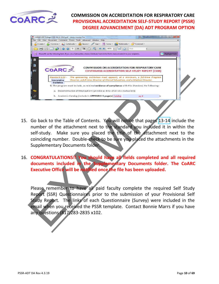

| File        | 200000 ABC College CSSR 04-01-2012.pdf - Adobe Acrobat Pro |                                                                                                                                                                                                                                                                                                               |                               |      | <b>CONTROL</b>   |
|-------------|------------------------------------------------------------|---------------------------------------------------------------------------------------------------------------------------------------------------------------------------------------------------------------------------------------------------------------------------------------------------------------|-------------------------------|------|------------------|
|             | Edit View Document Comments Forms Tools Advanced Window    | Help                                                                                                                                                                                                                                                                                                          |                               |      |                  |
|             | Create + 4 Combine + 4 Collaborate + 1 Secure +            | $\equiv$ Forms $\tau$<br>Sign +                                                                                                                                                                                                                                                                               | Multimedia + Comment +        |      |                  |
|             |                                                            |                                                                                                                                                                                                                                                                                                               | Find<br>H.<br>$\frac{1}{4+1}$ |      |                  |
| 目           |                                                            | Please fill out the following form. If you are a form author, choose Distribute Form in the Forms menu to send it to your recipients.                                                                                                                                                                         |                               |      | Highlight Fields |
| 脚<br>œ      | <b>COARC</b><br>Standard 2.03 -<br>Interpretive            | <b>COMMISSION ON ACCREDITATION FOR RESPIRATORY CARE</b><br><b>CONTINUING ACCREDITATION SELF-STUDY REPORT (CSSR)</b><br>The sponsoring institution must appoint, at a minimum, a full-time Program<br>Director, a full-time Director of Clinical Education, and a Medical Director.                            |                               |      |                  |
|             | Guideline                                                  | 1) The program must include, as minimal evidence of compliance with this Standard, the following:                                                                                                                                                                                                             |                               |      |                  |
|             |                                                            | a. Documentation of Employment (provide at time of on-site evaluation);                                                                                                                                                                                                                                       |                               |      |                  |
|             |                                                            | b. Academic Catalog (include in APPENDIX G page(s) Calalog                                                                                                                                                                                                                                                    |                               | pg # | ):               |
| self-study. | <b>Supplementary Documents folder.</b>                     | Go back to the Table of Contents. You will notice that pages 13-14 include the<br>number of the attachment next to the standard you included it in within the<br>Make sure you placed the title of the attachment next to the<br>coinciding number. Double-check to be sure you placed the attachments in the |                               |      |                  |
|             |                                                            | CONGRATULATIONS!! You should have all fields completed and all required<br>documents included in the Supplementary Documents folder. The CoARC<br>Executive Office will be notified once the file has been uploaded.                                                                                          |                               |      |                  |
|             |                                                            | Please remember to have all paid faculty complete the required Self Study<br>Report (SSR) Questionnaires prior to the submission of your Provisional Self<br>Study Report. The links of each Questionnaire (Survey) were included in the                                                                      |                               |      |                  |

- 15. Go back to the Table of Contents. You will notice that pages 13-14 include the number of the attachment next to the standard you included it in within the self-study. Make sure you placed the title of the attachment next to the coinciding number. Double-check to be sure you placed the attachments in the Supplementary Documents folder.
- 16. **CONGRATULATIONS!! You should have all fields completed and all required documents included in the Supplementary Documents folder. The CoARC Executive Office will be notified once the file has been uploaded.**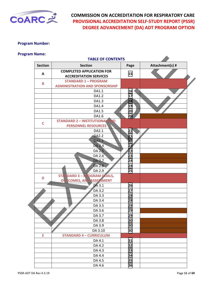<span id="page-10-0"></span>

#### **Program Number:**

#### **Program Name:**

|                | <b>TABLE OF CONTENTS</b>                |                 |                 |  |
|----------------|-----------------------------------------|-----------------|-----------------|--|
| <b>Section</b> | <b>Section</b>                          | Page            | Attachment(s) # |  |
| A              | <b>COMPLETED APPLICATION FOR</b>        | 15              |                 |  |
|                | <b>ACCREDITATION SERVICES</b>           |                 |                 |  |
| B              | <b>STANDARD 1 - PROGRAM</b>             |                 |                 |  |
|                | <b>ADMINISTRATION AND SPONSORSHIP</b>   |                 |                 |  |
|                | DA1.1                                   | 16              |                 |  |
|                | DA1.2                                   | 17              |                 |  |
|                | DA1.3                                   | 18              |                 |  |
|                | DA1.4                                   | 19              |                 |  |
|                | DA1.5                                   | 20              |                 |  |
|                | DA1.6                                   | 20              |                 |  |
| $\mathsf{C}$   | <b>STANDARD 2 - INSTITUTIONAL</b><br>תו |                 |                 |  |
|                | <b>PERSONNEL RESOURCES</b>              |                 |                 |  |
|                | DA2.1                                   | 21              |                 |  |
|                | <b>DA2.2</b>                            | 21              |                 |  |
|                | <b>DA2.3</b>                            | $\overline{22}$ |                 |  |
|                | <b>DA 2.4</b>                           | 23              |                 |  |
|                | <b>DA 2.5</b>                           | $\overline{2}3$ |                 |  |
|                | DA 2.6                                  | 23              |                 |  |
|                | <b>DA 2.7</b>                           | 24              |                 |  |
|                | DA 2.8                                  | 24              |                 |  |
|                | DA 2.9                                  | 25              |                 |  |
| D              | <b>STANDARD 3 - PROGRAM GOALS,</b>      |                 |                 |  |
|                | <b>COMES, AND ASSESSMENT</b><br>OU      |                 |                 |  |
|                | DA 3.1                                  | 26              |                 |  |
|                | DA 3.2                                  | 27              |                 |  |
|                | DA 3.3                                  | 28              |                 |  |
|                | DA 3.4                                  | 28              |                 |  |
|                | DA 3.5                                  | 29              |                 |  |
|                | DA 3.6                                  | 29              |                 |  |
|                | DA 3.7                                  | 29              |                 |  |
|                | DA 3.8                                  | 30              |                 |  |
|                | DA 3.9                                  | 30              |                 |  |
|                | DA 3.10                                 | 30              |                 |  |
| E              | <b>STANDARD 4 - CURRICULUM</b>          |                 |                 |  |
|                | DA 4.1                                  | 31              |                 |  |
|                | DA 4.2                                  | 32              |                 |  |
|                | DA 4.3                                  | 33              |                 |  |
|                | DA 4.4                                  | 34              |                 |  |
|                | DA 4.5                                  | 35              |                 |  |
|                | DA 4.6                                  | 36              |                 |  |
|                |                                         |                 |                 |  |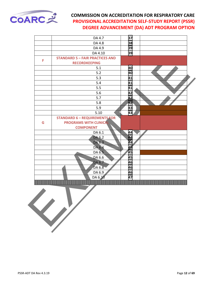

|   | DA 4.7                                 | 37 |  |
|---|----------------------------------------|----|--|
|   | DA 4.8                                 | 38 |  |
|   | DA 4.9                                 | 39 |  |
|   | DA 4.10                                | 39 |  |
|   | <b>STANDARD 5 - FAIR PRACTICES AND</b> |    |  |
| F | <b>RECORDKEEPING</b>                   |    |  |
|   | 5.1                                    | 40 |  |
|   | 5.2                                    | 40 |  |
|   | 5.3                                    | 41 |  |
|   | 5.4                                    | 41 |  |
|   | 5.5                                    | 41 |  |
|   | 5.6                                    | 42 |  |
|   | 5.7                                    | 42 |  |
|   | 5.8                                    | 42 |  |
|   | 5.9                                    | 43 |  |
|   | 5.10                                   | 43 |  |
|   | <b>STANDARD 6 - REQUIREMENTS FOR</b>   |    |  |
| G | <b>PROGRAMS WITH CLINICAL</b>          |    |  |
|   | <b>COMPONENT</b>                       |    |  |
|   | DA 6.1                                 | 44 |  |
|   | DA 6.2                                 | 44 |  |
|   | DA 6.3                                 | 44 |  |
|   | DA 6.4                                 | 45 |  |
|   | DA 6.5                                 | 45 |  |
|   | DA 6.6                                 | 45 |  |
|   | DA 6.7                                 | 46 |  |
|   | DA 6.8                                 | 46 |  |
|   | DA 6.9                                 | 46 |  |
|   | DA 6.10                                | 47 |  |
|   |                                        |    |  |

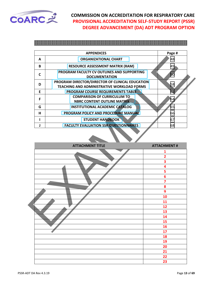<span id="page-12-0"></span>

|   | <b>APPENDICES</b>                                                  | Page # |  |
|---|--------------------------------------------------------------------|--------|--|
| A | <b>ORGANIZATIONAL CHART</b>                                        | 48     |  |
| B | <b>RESOURCE ASSESSMENT MATRIX (RAM)</b>                            | 49     |  |
| C | PROGRAM FACULTY CV OUTLINES AND SUPPORTING<br><b>DOCUMENTATION</b> | 50     |  |
| D | PROGRAM DIRECTOR/DIRECTOR OF CLINICAL EDUCATION                    | 58     |  |
|   | <b>TEACHING AND ADMINISTRATIVE WORKLOAD FORMS</b>                  |        |  |
| E | PROGRAM COURSE REQUIREMENTS TABLE                                  | 62     |  |
| F | <b>COMPARISON OF CURRICULUM TO</b>                                 |        |  |
|   | <b>NBRC CONTENT OUTLINE MATRIX</b>                                 | 64     |  |
| G | <b>INSTITUTIONAL ACADEMIC CATALOG</b>                              | 65     |  |
| н | PROGRAM POLICY AND PROCEDURE MANUAL                                | 66     |  |
|   | <b>STUDENT HANDBOOK</b>                                            | 67     |  |
|   | <b>FACULTY EVALUATION SSR QUESTIONNAIRES</b>                       | 68     |  |

| Α            | <b>ORGANIZATIONAL CHART</b>                                                                   | 48                           |
|--------------|-----------------------------------------------------------------------------------------------|------------------------------|
| B            | <b>RESOURCE ASSESSMENT MATRIX (RAM)</b>                                                       | 49                           |
| $\mathsf{C}$ | PROGRAM FACULTY CV OUTLINES AND SUPPORTING<br><b>DOCUMENTATION</b>                            | 50                           |
| D            | PROGRAM DIRECTOR/DIRECTOR OF CLINICAL EDUCATION<br>TEACHING AND ADMINISTRATIVE WORKLOAD FORMS | 58                           |
| E            | PROGRAM COURSE REQUIREMENTS TABLE                                                             | 62                           |
| F            | <b>COMPARISON OF CURRICULUM TO</b><br><b>NBRC CONTENT OUTLINE MATRIX</b>                      | 64                           |
| G            | <b>INSTITUTIONAL ACADEMIC CATALOG</b>                                                         | 65                           |
| н            | PROGRAM POLICY AND PROCEDURE MANUAL                                                           | 66                           |
| I            | <b>STUDENT HANDBOOK</b>                                                                       | 67                           |
| J            | <b>FACULTY EVALUATION SSR QUESTIONNAIRES</b>                                                  | 68                           |
|              | <b>ATTACHMENT TITLE</b>                                                                       | <b>ATTACHMENT#</b>           |
|              |                                                                                               |                              |
|              |                                                                                               | 1<br>$\overline{\mathbf{2}}$ |
|              |                                                                                               | 3                            |
|              |                                                                                               | 4                            |
|              |                                                                                               | 5                            |
|              |                                                                                               | 6                            |
|              |                                                                                               | $\overline{7}$               |
|              |                                                                                               | 8                            |
|              |                                                                                               | 9                            |
|              |                                                                                               | 10                           |
|              |                                                                                               | 11                           |
|              |                                                                                               | 12                           |
|              |                                                                                               | 13                           |
|              |                                                                                               | 14<br>15                     |
|              |                                                                                               | 16                           |
|              |                                                                                               | 17                           |
|              |                                                                                               | 18                           |
|              |                                                                                               | 19                           |
|              |                                                                                               | 20                           |
|              |                                                                                               | 21                           |
|              |                                                                                               | 22                           |
|              |                                                                                               | 23                           |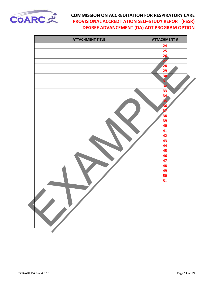

| <b>ATTACHMENT TITLE</b> | <b>ATTACHMENT#</b> |
|-------------------------|--------------------|
|                         | 24                 |
|                         | 25                 |
|                         | 26                 |
|                         | 27                 |
|                         | 28                 |
|                         | 29                 |
|                         | 30                 |
|                         | 31                 |
|                         | $\overline{32}$    |
|                         | 33                 |
|                         | 34                 |
|                         | <b>35</b>          |
|                         | 36                 |
|                         | 37                 |
|                         | 38                 |
|                         | 39                 |
|                         | 40                 |
|                         | 41                 |
|                         | 42                 |
|                         | 43                 |
|                         | 44                 |
|                         | 45                 |
|                         | 46                 |
|                         | 47                 |
|                         | 48                 |
|                         | 49                 |
|                         | 50<br>51           |
|                         |                    |
|                         |                    |
|                         |                    |
|                         |                    |
|                         |                    |
|                         |                    |
|                         |                    |
|                         |                    |
|                         |                    |
|                         |                    |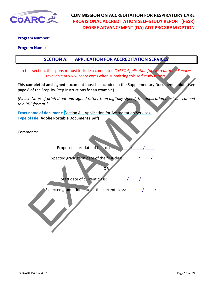<span id="page-14-0"></span>

#### **Program Number:**

#### **Program Name:**

#### **SECTION A: APPLICATION FOR ACCREDITATION SERVICES**

In this section, the sponsor must include a completed *CoARC Application for Accreditation Services* (available at www.coarc.com) when submitting this self study report.

This **completed and signed** document must be included in the Supplementary Documents folder (see page 8 of the Step-By-Step Instructions for an example).

SECTION A: APPLICATION FOR ACCREDITATION SERVICES<br>
is section, the sponsor must include a completed CARC Application for a creditor of scripture<br>
(available at www.coarc.com) when submitting this self study. Next,<br>
complet *[Please Note: If printed out and signed rather than digitally signed, the application must be scanned to a PDF format.]*

**Exact name of document:** Section A – Application for Accreditation Services **Type of File: Adobe Portable Document (.pdf)** 

Comments:

Proposed start date of first class:

Expected graduation date of the first class:

Start date of current class:

Expected graduation date of the current class:

**OR**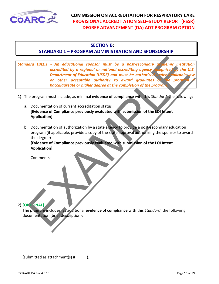<span id="page-15-0"></span>

#### **SECTION B:**

#### **STANDARD 1 – PROGRAM ADMINISTRATION AND SPONSORSHIP**

and DA1.1 - An educational sponsor must be a post-secondary of demic institution accredited by a regional or national accrediting agency  $\frac{1}{\sqrt{2}}$  (the U operation of Education (105D) and must be authorized to the prope *Standard DA1.1 - An educational sponsor must be a post-secondary academic institution*<br>accredited by a regional or national accrediting agency recognized by the U.S. *accredited by a regional or national accrediting agency recognized by the U.S. Department of Education (USDE) and must be authorized under applicable law or other acceptable authority to award graduates of the program baccalaureate or higher degree at the completion of the program.*

- 1) The program must include, as minimal **evidence of compliance** with this *Standard*, the following:
	- a. Documentation of current accreditation status **[Evidence of Compliance previously evaluated with submission of the LOI Intent Application]**
	- b. Documentation of authorization by a state agency to provide a post-secondary education program (if applicable, provide a copy of the state approval authorizing the sponsor to award the degree)

**[Evidence of Compliance previously evaluated with submission of the LOI Intent Application]**

Comments:

2) **[OPTIONAL]**

The program includes, as additional **evidence of compliance** with this *Standard*, the following documentation (brief description):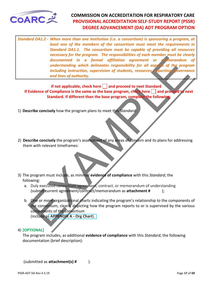<span id="page-16-0"></span>

The program inter to the program inter to the constraints of the constrained in a formal diffliction agreement or the counter of the program understanding which delineates responsibility for all as properties including in *Standard DA1.2 - When more than one institution (i.e. a consortium) is sponsoring a program, at least one of the members of the consortium must meet the requirements in Standard DA1.1. The consortium must be capable of providing all resources necessary for the program. The responsibilities of each member must be clearly documented in a formal affiliation agreement or memorandum of understanding which delineates responsibility for all aspects of the program including instruction, supervision of students, resources, reporting, governance and lines of authority.* 

**If not applicable, check here | | and proceed to next Standard If Evidence of Compliance is the same as the base program, check here and proceed to next Standard. If different than the base program, complete the following:**

1) **Describe concisely** how the program plans to meet this *Standard:*

- 2) **Describe concisely** the program's assessment of any areas of concern and its plans for addressing them with relevant timeframes:
- 3) The program must include, as minimal **evidence of compliance** with this *Standard*, the following:
	- a. Duly executed consortium agreement, contract, or memorandum of understanding (submit current agreement/contract/memorandum as **attachment #** );
	- b. One or more organizational charts indicating the program's relationship to the components of the consortium, clearly depicting how the program reports to or is supervised by the various components of the consortium (include as **APPENDIX A - Org Chart**).

#### 4) **[OPTIONAL]**

The program includes, as additional **evidence of compliance** with this *Standard*, the following documentation (brief description):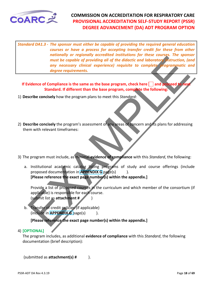<span id="page-17-0"></span>

must be capable of providing all of the didactic and laborator<sup>y</sup> struction, la<br>
must be capable of providing all of the didactic and laboratory struction, la<br>
any necessary clinical experience) requisite to complete fogra *Standard DA1.3 - The sponsor must either be capable of providing the required general education courses or have a process for accepting transfer credit for these from other nationally or regionally accredited institutions for these courses. The sponsor must be capable of providing all of the didactic and laboratory instruction, (and any necessary clinical experience) requisite to complete programmatic and degree requirements.* 

**If Evidence of Compliance is the same as the base program, check here and proceed to next Standard. If different than the base program, complete the following:**

- 1) **Describe concisely** how the program plans to meet this *Standard:*
- 2) **Describe concisely** the program's assessment of any areas of concern and its plans for addressing them with relevant timeframes:
- 3) The program must include, as minimal **evidence of compliance** with this *Standard*, the following:
	- a. Institutional academic catalog listing programs of study and course offerings (include proposed documentation in **APPENDIX G** page(s)). **[Please reference the exact page number(s) within the appendix.]**

Provide a list of proposed courses in the curriculum and which member of the consortium (if applicable) is responsible for each course.

(submit list as **attachment #** )

b. Transfer of credit policies (if applicable) (include in **APPENDIX G** page(s)).

**[Please reference the exact page number(s) within the appendix.]**

#### 4) **[OPTIONAL]**

The program includes, as additional **evidence of compliance** with this *Standard*, the following documentation (brief description):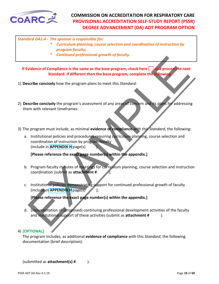

#### *Standard DA1.4 - The sponsor is responsible for:*

- *\* Curriculum planning, course selection and coordination of instruction by program faculty;*
- *\* Continued professional growth of faculty.*

If Evidence of Compliance is the same as the base program, check here **and proceed to next Standard. If different than the base program, complete the following:**

- 1) **Describe concisely** how the program plans to meet this *Standard:*
- 2) **Describe concisely** the program's assessment of any areas of concern and its plans for addressing them with relevant timeframes:
- 3) The program must include, as minimal **evidence of compliance** with this *Standard*, the following:
- Continue to program to the same as the base program, check here the proceed for next<br>standard. If different than the base program, complete the bilowing<br>scribe concisely how the program plans to meet this *Standard:*<br>scrib a. Institutional policies and procedures requiring curriculum planning, course selection and coordination of instruction by program faculty (include in **APPENDIX H** page(s) ).

**[Please reference the exact page number(s) within the appendix.]**

- b. Program faculty minutes of meetings for curriculum planning, course selection and instruction coordination (submit as **attachment #** );
- c. Institutional policies demonstrating support for continued professional growth of faculty (include in **APPENDIX H** page(s) );

**[Please reference the exact page number(s) within the appendix.]**

d. Documentation of (proposed) continuing professional development activities of the faculty and institutional support of these activities (submit as **attachment #** ).

#### 4) **[OPTIONAL]**

The program includes, as additional **evidence of compliance** with this *Standard*, the following documentation (brief description):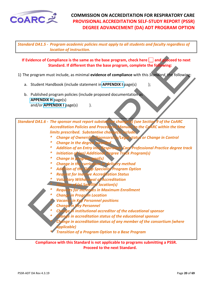<span id="page-19-0"></span>

*Standard DA1.5 - Program academic policies must apply to all students and faculty regardless of location of instruction.*

**If Evidence of Compliance is the same as the base program, check here and proceed to next Standard. If different than the base program, complete the following:**

- 1) The program must include, as minimal **evidence of compliance** with this *Standard*, the following:
	- a. Student Handbook (include statement in **APPENDIX I** page(s) );
	- b. Published program policies (include proposed documentation as **APPENDIX H** page(s) and/or **APPENDIX I** page(s)  $\qquad$  ).

vidence of Compliance is the same as the base program, check here  $\Box$  and **vidence** of next<br>
program must include, as minimal evidence of compliance with this *Stordard*, the following<br>
Student Handbook (include statement *Standard DA1.6 - The sponsor must report substantive change(s) (see Section 9 of the CoARC Accreditation Policies and Procedures Manual) to the CoARC within the time limits prescribed. Substantive change(s) include:*

- *\* Change of Ownership/Sponsorship/Legal status or Change in Control*
- *Change in the degree* 
	- *\* Addition of an Entry into Respiratory Care Professional Practice degree track*
- *\* Initiation of (an) Additional Degree Track Program(s)*
- *\* Change in program goal(s)*
- *\* Change in the curriculum or delivery method*
- *\* Addition of the Sleep Specialist Program Option*
- *\* Request for Inactive Accreditation Status*
- *\* Voluntary Withdrawal of Accreditation \* Addition of (a) Satellite location(s)*
- *\* Requests for increases in Maximum Enrollment*
	- *\* Change in Program Location*
- **Vacancy in Key Personnel positions**
- *\* Change in Key Personnel*
- *\* Change in institutional accreditor of the educational sponsor*
- $\epsilon$  in accreditation status of the educational sponsor
	- *\* Change in accreditation status of any member of the consortium (where applicable)*
- *\* Transition of a Program Option to a Base Program*

**Compliance with this Standard is not applicable to programs submitting a PSSR. Proceed to the next Standard.**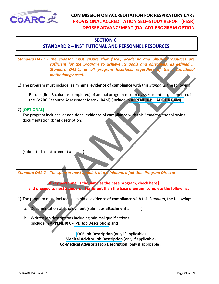<span id="page-20-0"></span>

#### **SECTION C:**

#### **STANDARD 2 – INSTITUTIONAL AND PERSONNEL RESOURCES**

and DA2.1 - The sponsor must ensure that fiscal, academic and physic resources of<br>sufficient for the program to chieve its goals and object to spared<br>is standard DA3.1, at all program locations, regardless at detail and<br>th *Standard DA2.1 - The sponsor must ensure that fiscal, academic and physical resources are sufficient for the program to achieve its goals and objectives, as defined in Standard DA3.1, at all program locations, regardless of the instructional methodology used.*

- 1) The program must include, as minimal **evidence of compliance** with this *Standard*, the following:
	- a. Results (first 3 columns completed) of annual program resource assessment as documented in the CoARC Resource Assessment Matrix (RAM) (include in **APPENDIX B – ADT DA RAM)**.

#### 2) **[OPTIONAL]**

The program includes, as additional **evidence of compliance** with this *Standard*, the following documentation (brief description):

(submitted as **attachment #** ).

*Standard DA2.2 - The sponsor must appoint, at a minimum, a full-time Program Director.*

**If key personnel is the same as the base program, check here and proceed to next Standard. If different than the base program, complete the following:**

- 1) The program must include, as minimal **evidence of compliance** with this *Standard*, the following:
	- a. Documentation of Employment (submit as **attachment #** );
	- b. Written job descriptions including minimal qualifications (include in **APPENDIX C - PD Job Description**) **and**

 **DCE Job Description** (only if applicable) **Medical Advisor Job Description** (only if applicable) **Co-Medical Advisor(s) Job Description** (only if applicable).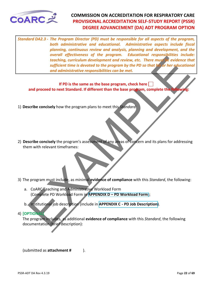<span id="page-21-0"></span>

Executing, curriculum development and review, etc. There must be widence the<br>techning, curriculum development and review, etc. There must be widence the<br>sufficient time is develop to the program by the PD so that the stree *Standard DA2.3 - The Program Director (PD) must be responsible for all aspects of the program, both administrative and educational. Administrative aspects include fiscal planning, continuous review and analysis, planning and development, and the overall effectiveness of the program. Educational responsibilities include: teaching, curriculum development and review, etc. There must be evidence that sufficient time is devoted to the program by the PD so that his or her educational and administrative responsibilities can be met.* 

#### **If PD is the same as the base program, check here and proceed to next Standard. If different than the base program, complete the following:**

1) **Describe concisely** how the program plans to meet this *Standard:*

- 2) **Describe concisely** the program's assessment of any areas of concern and its plans for addressing them with relevant timeframes:
- 3) The program must include, as minimal **evidence of compliance** with this *Standard*, the following:
	- a. CoARC Teaching and Administrative Workload Form (Complete PD Workload Form in **APPENDIX D – PD Workload Form)**;
	- b. Institutional job description (include in **APPENDIX C PD Job Description)**.
- 4) **[OPTIONAL]**

The program includes, as additional **evidence of compliance** with this *Standard*, the following documentation (brief description):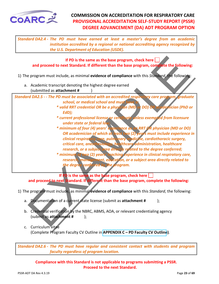<span id="page-22-0"></span>

*Standard DA2.4 - The PD must have earned at least a master's degree from an academic institution accredited by a regional or national accrediting agency recognized by the U.S. Department of Education (USDE).* 

#### **If PD is the same as the base program, check here and proceed to next Standard. If different than the base program, complete the following:**

- 1) The program must include, as minimal **evidence of compliance** with this *Standard*, the following:
	- a. Academic transcript denoting the highest degree earned (submitted as **attachment #** )

*Standard DA2.5 - - The PD must be associated with an accredited respiratory care program, graduate school, or medical school and must have a:*

- *\* valid RRT credential OR be a physician (MD or DO) OR academician (PhD or EdD);*
- *\* current professional license or certificate unless exempted from licensure under state or federal law;*

If PD is the same as the base program, check here and proceed to next Standard. If different than the base program, complete the following<br>program must include, as minimal evidence of compliance with this storehard. He fol *\* minimum of four (4) years' experience as an RRT OR physician (MD or DO) OR academician of which at least two (2) years must include experience in clinical respiratory care, pulmonary medicine, cardiothoracic surgery, critical care, anesthesiology, healthcare administration, healthcare research, or a subject area directly related to the degree conferred; \* minimum of two (2) years' teaching experience in clinical respiratory care,* 

*research, management, education, or a subject area directly related to the degree conferred by the program.*

**If PD is the same as the base program, check here** 

**and proceed to next Standard. If different than the base program, complete the following:**

- 1) The program must include, as minimal **evidence of compliance** with this *Standard*, the following:
	- a. Documentation of a current state license (submit as **attachment #** );
	- b. Credential verification by the NBRC, ABMS, AOA, or relevant credentialing agency (submit as **attachment #** );
	- c. Curriculum vitae (Complete Program Faculty CV Outline in **[APPENDIX C – PD Faculty CV Outline](#page-51-0))**.

*Standard DA2.6 - The PD must have regular and consistent contact with students and program faculty regardless of program location.*

**Compliance with this Standard is not applicable to programs submitting a PSSR. Proceed to the next Standard.**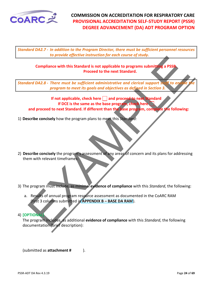<span id="page-23-0"></span>

*Standard DA2.7 - In addition to the Program Director, there must be sufficient personnel resources to provide effective instruction for each course of study.*

#### **Compliance with this Standard is not applicable to programs submitting a PSSR. Proceed to the next Standard.**

*Standard DA2.8 - There must be sufficient administrative and clerical support staff to en program to meet its goals and objectives as defined in Section 3.*

Compliance with this Standard Bristochoristic extraction of electromagnetic terms and and the complication of the complication of the complication of the complication of the complication of the complication of the complica **If not applicable, check here | | and proceed to next Standard If DCE is the same as the base program, check here and proceed to next Standard. If different than the base program, complete the following:**

1) **Describe concisely** how the program plans to meet this *Standard:*

- 2) **Describe concisely** the program's assessment of any areas of concern and its plans for addressing them with relevant timeframes:
- 3) The program must include, as minimal **evidence of compliance** with this *Standard*, the following:
	- a. Results of annual program resource assessment as documented in the CoARC RAM (first 3 columns submitted in **APPENDIX B – BASE DA RAM**).

#### 4) **[OPTIONAL]**

The program includes, as additional **evidence of compliance** with this *Standard*, the following documentation (brief description):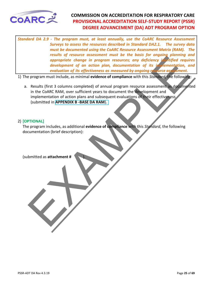<span id="page-24-0"></span>

*Standard DA 2.9 - The program must, at least annually, use the CoARC Resource Assessment Surveys to assess the resources described in Standard DA2.1. The survey data must be documented using the CoARC Resource Assessment Matrix (RAM). The results of resource assessment must be the basis for ongoing planning and appropriate change in program resources; any deficiency identified requires development of an action plan, documentation of its implementation, and evaluation of its effectiveness as measured by ongoing resource assessment.* 

1) The program must include, as minimal **evidence of compliance** with this *Standard*, the following:

results (first a content of on ordino perceptibe change in program resources; any defidency if diffed required<br>
development of on ordino plan, documentation of its if emergency<br>
evaluation of its effectiveness as measured a. Results (first 3 columns completed) of annual program resource assessment as documented in the CoARC RAM, over sufficient years to document the development and implementation of action plans and subsequent evaluations of their effectiveness (submitted in **APPENDIX B -BASE DA RAM**).

#### 2) **[OPTIONAL]**

The program includes, as additional **evidence of compliance** with this *Standard*, the following documentation (brief description):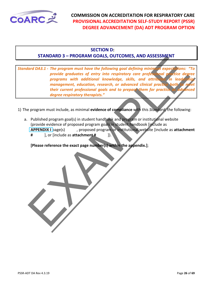<span id="page-25-0"></span>

#### **SECTION D:**

#### **STANDARD 3 – PROGRAM GOALS, OUTCOMES, AND ASSESSMENT**

STANDARD 3 - PROGRAM GOALS, OUTCOWES, AND ASSESSIVENT<br>
for DAS.1 - The program must have the following goal defining minimum acepect hones in<br>
provide graduates of entry into respirate, and actual process that the degree *Standard DA3.1 - The program must have the following goal defining minimum expectations: "To provide graduates of entry into respiratory care professional practice degree programs with additional knowledge, skills, and attributes in leaders management, education, research, or advanced clinical practice both* their current professional goals and to prepare them for practice *degree respiratory therapists."* 

- 1) The program must include, as minimal **evidence of compliance** with this *Standard*, the following:
	- a. Published program goal(s) in student handbook and program or institutional website (provide evidence of proposed program goals in student handbook [include as **APPENDIX I** page(s) , proposed program or institutional website [include as **attachment #** ], or [include as **attachment #** ]).

**[Please reference the exact page number(s) within the appendix.]**;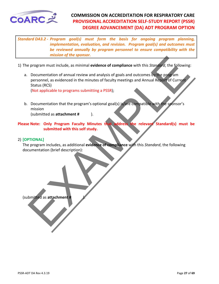<span id="page-26-0"></span>

*Standard DA3.2 - Program goal(s) must form the basis for ongoing program planning, implementation, evaluation, and revision. Program goal(s) and outcomes must be reviewed annually by program personnel to ensure compatibility with the mission of the sponsor.* 

- 1) The program must include, as minimal **evidence of compliance** with this *Standard*, the following:
- The program must include, as minimal evidence of compliance with this Standard, the following<br>
Decormentation of annual review and analysis of goals and outcomes by the program<br>
personnel, as evidenced in the minutes of fa a. Documentation of annual review and analysis of goals and outcomes by the program personnel, as evidenced in the minutes of faculty meetings and Annual Report of Current Status (RCS)

(Not applicable to programs submitting a PSSR);

b. Documentation that the program's optional goal(s) is/are compatible with the sponsor's mission

(submitted as **attachment #** ).

**Please Note: Only Program Faculty Minutes that address the relevant Standard(s) must be submitted with this self study.** 

#### 2) **[OPTIONAL]**

The program includes, as additional **evidence of compliance** with this *Standard*, the following documentation (brief description):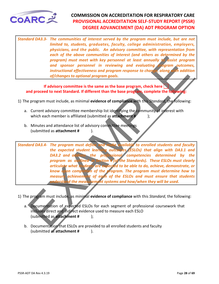<span id="page-27-0"></span>

*Standard DA3.3- The communities of interest served by the program must include, but are not limited to, students, graduates, faculty, college administration, employers, physicians, and the public. An advisory committee, with representation from each of the above communities of interest (and others as determined by the program) must meet with key personnel at least annually to assist program and sponsor personnel in reviewing and evaluating instructional effectiveness and program response to change, along with addition of/changes to optional program goals.* 

#### **If advisory committee is the same as the base program, check here and proceed to next Standard. If different than the base program, complete the following:**

- 1) The program must include, as minimal **evidence of compliance** with this *Standard*, the following:
	- a. Current advisory committee membership list identifying the community of interest with which each member is affiliated (submitted as **attachment #** );
	- b. Minutes and attendance list of advisory committee meetings (submitted as **attachment #** ).

exact of the state of the state of the formal and specifical state of the formal and specifical state of the state of the state of the state of the state of the state of the state of the state of the state of the state of *Standard DA3.4- The program must define and make available to enrolled students and faculty the expected student learning outcomes (ESLOs) that align with DA3.1 and DA3.2 and address the professional competencies determined by the program as outlined in Section 4 (of the Standards). These ESLOs must clearly articulate what students are expected to be able to do, achieve, demonstrate, or know upon completion of the program. The program must determine how to measure achievement of each of the ESLOs and must ensure that students understand the measurement systems and how/when they will be used.*

- 1) The program must include, as minimal **evidence of compliance** with this *Standard*, the following:
	- a. Documentation of expected ESLOs for each segment of professional coursework that includes direct and indirect evidence used to measure each ESLO (submitted as **attachment #** );
	- b. Documentation that ESLOs are provided to all enrolled students and faculty (submitted as **attachment #** ).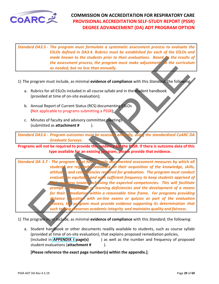<span id="page-28-0"></span>

*Standard DA3.5 - The program must formulate a systematic assessment process to evaluate the ESLOs defined in DA3.4. Rubrics must be established for each of the ESLOs and made known to the students prior to their evaluations. Based on the results of the assessment process, the program must make adjustments to the curriculum as needed, but no less than annually.* 

- 1) The program must include, as minimal **evidence of compliance** with this *Standard*, the following:
	- a. Rubrics for all ESLOs included in all course syllabi and in the student handbook (provided at time of on-site evaluation);
	- b. Annual Report of Current Status (RCS) documenting ESLOs (Not applicable to programs submitting a PSSR);
	- c. Minutes of faculty and advisory committee meetings (submitted as **attachment #** ).

*Standard DA3.6 - Program outcomes must be assessed annually, using the standardized CoARC DA Graduate Surveys.*

**Programs will not be required to provide this evidence for the PSSR. If there is outcome data of this type available for an existing program, please provide that evidence.** 

mark Involvement to the student profession prior to their evolutions. Based in the results the consistent process, the program must make adjustment of the curriculum as needed, but no less than annually.<br>
Program must incl *Standard DA 3.7 - The program must have clearly documented assessment measures by which all students are regularly evaluated on their acquisition of the knowledge, skills, attitudes, and competencies required for graduation. The program must conduct evaluations equitably and with sufficient frequency to keep students apprised of*  ress toward achieving the expected competencies. This will facilitate *prompt identification of learning deficiencies and the development of a means for their remediation within a reasonable time frame. For programs providing distance education with on-line exams or quizzes as part of the evaluation pocess, the program must provide evidence supporting its determination that such testing preserves academic integrity and maintains quality and fairness.* 

1) The program must include, as minimal **evidence of compliance** with this *Standard*, the following:

a. Student handbook or other documents readily available to students, such as course syllabi (provided at time of on-site evaluation), that explains proposed remediation policies, (included in **APPENDIX I page(s)** ) as well as the number and frequency of proposed student evaluations (**attachment #** ).

**[Please reference the exact page number(s) within the appendix.]**;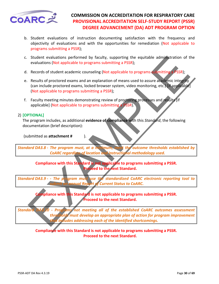<span id="page-29-0"></span>

- b. Student evaluations of instruction documenting satisfaction with the frequency and objectivity of evaluations and with the opportunities for remediation (Not applicable to programs submitting a PSSR);
- c. Student evaluations performed by faculty, supporting the equitable administration of the evaluations (Not applicable to programs submitting a PSSR);
- d. Records of student academic counseling (Not applicable to programs submitting a PSSR);
- e. Results of proctored exams and an explanation of means used to assure academic integrity (can include proctored exams, locked browser system, video monitoring, etc.) [if applicable] (Not applicable to programs submitting a PSSR);
- f. Faculty meeting minutes demonstrating review of proctoring processes and results [if applicable] (Not applicable to programs submitting a PSSR).

#### 2) **[OPTIONAL]**

The program includes, as additional **evidence of compliance** with this *Standard*, the following documentation (brief description):

(submitted as **attachment #** ).

*Standard DA3.8 - The program must, at a minimum, meet the outcome thresholds established by CoARC regardless of location and instructional methodology used.*

**Compliance with this Standard is not applicable to programs submitting a PSSR. Proceed to the next Standard.**

*Standard DA3.9 - - The program must use the standardized CoARC electronic reporting tool to submit an annual Report of Current Status to CoARC.* 

> **Compliance with this Standard is not applicable to programs submitting a PSSR. Proceed to the next Standard.**

Student evaluations performed by faculty, supporting the equitable administration of the exacts of student acceleration congrams submitting a PSSR);<br>Results of proctored exams and an explanation of means used to assure acc *Standard DA3.10 - Programs not meeting all of the established CoARC outcomes assessment thresholds must develop an appropriate plan of action for program improvement that includes addressing each of the identified shortcomings.*

> **Compliance with this Standard is not applicable to programs submitting a PSSR. Proceed to the next Standard.**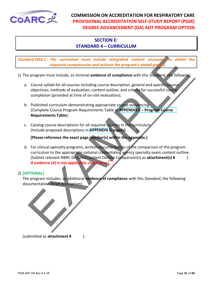<span id="page-30-0"></span>

#### **SECTION E: STANDARD 4 – CURRICULUM**

*Standard DA4.1 - The curriculum must include integrated content necessary to attain the expected competencies and achieve the program's stated god* 

- 1) The program must include, as minimal **evidence of compliance** with this *Standard*, the following:
	- a. Course syllabi for all courses including course description, general and specific course objectives, methods of evaluation, content outline, and criteria for successful course completion (provided at time of on-site evaluation);
	- b. Published curriculum demonstrating appropriate course sequencing (Complete Course Program Requirements Table in **APPENDIX E – Program Course Requirements Table**);
	- c. Catalog course descriptions for all required courses in the curriculum (Include proposed descriptions in **APPENDIX G page(s)** );

**[Please reference the exact page number(s) within the appendix.]**

and DA4.1 - The curriculum must include integrated content necessor. To attain the curriculum must include integrated content necessor. The curriculum expected completences and achieve the program is stated good. The follo d. For clinical specialty programs, written documentation of the comparison of the program curriculum to the appropriate national credentialing agency specialty exam content outline (Submit relevant NBRC Detailed Content Outline Comparison(s) as **attachment(s) #** ). **If evidence (d) is not applicable, check here** 

#### 2) **[OPTIONAL]**

The program includes, as additional **evidence of compliance** with this *Standard*, the following documentation (brief description):

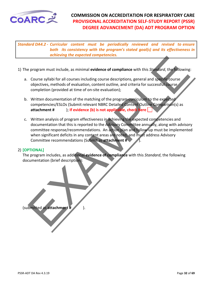<span id="page-31-0"></span>

*Standard DA4.2 - Curricular content must be periodically reviewed and revised to ensure both its consistency with the program's stated goal(s) and its effectiveness in achieving the expected competencies.* 

- 1) The program must include, as minimal **evidence of compliance** with this *Standard*, the following:
	- a. Course syllabi for all courses including course descriptions, general and specific course objectives, methods of evaluation, content outline, and criteria for successful course completion (provided at time of on-site evaluation);
	- b. Written documentation of the matching of the program curriculum to the expected competencies/ESLOs (Submit relevant NBRC Detailed Content Outline Comparison(s) as **attachment #** ); **If evidence (b) is not applicable, check here**
- Example the signification and evidence of compliance with this Standard, the following<br>
Course syllab for all courses including course descriptions, general and specific course<br>
completion (provided at time of on-site eval c. Written analysis of program effectiveness in achieving the expected competencies and documentation that this is reported to the Advisory Committee annually, along with advisory committee response/recommendations. An action plan and follow-up must be implemented when significant deficits in any content areas are noted, and must address Advisory Committee recommendations (Submit as **attachment #** ).

#### 2) **[OPTIONAL]**

The program includes, as additional **evidence of compliance** with this *Standard*, the following documentation (brief description):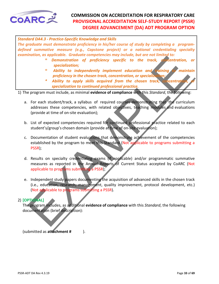

*Standard DA4.3 - Practice-Specific Knowledge and Skills* 

*The graduate must demonstrate proficiency in his/her course of study by completing a programdefined summative measure (e.g., Capstone project) or a national credentialing specialty examination, as applicable. Graduate competencies may include, but are not limited to:* 

- *Demonstration of proficiency specific to the track, concentration, or specialization;*
- *\* Ability to independently implement education and training to maintain proficiency in the chosen track, concentration, or specialization;*
- Ability to apply skills acquired from the chosen track, concentration,  *specialization to continued professional practice.*

1) The program must include, as minimal **evidence of compliance** with this *Standard*, the following:

- a. For each student/track, a syllabus of required courses demonstrating that the curriculum addresses these competencies, with related objectives, teaching modules and evaluations (provide at time of on-site evaluation);
- b. List of expected competencies required for continued professional practice related to each student's/group's chosen domain (provide at time of on-site evaluation);
- mature of the track of the track of the motion and the track in the track of the track of the track of the track of the track of the track of contration,<br>
specification, or specific to the track concentration, or specific<br> c. Documentation of student evaluations that demonstrate achievement of the competencies established by the program to meet this Standard (Not applicable to programs submitting a PSSR);
- d. Results on specialty credentialing exams (if applicable) and/or programmatic summative measures as reported in the Annual Reports of Current Status accepted by CoARC (Not applicable to programs submitting a PSSR);
- e. Independent study papers documenting the acquisition of advanced skills in the chosen track (i.e., education, research, management, quality improvement, protocol development, etc.) (Not applicable to programs submitting a PSSR).

#### 2) **[OPTIONAL]**

The program includes, as additional **evidence of compliance** with this *Standard*, the following documentation (brief description):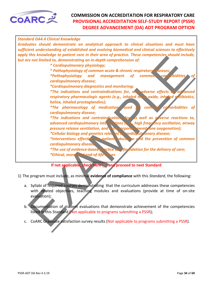<span id="page-33-0"></span>

| <b>Standard DA4.4 Clinical Knowledge</b>                                                                                                                                                         |
|--------------------------------------------------------------------------------------------------------------------------------------------------------------------------------------------------|
| Graduates should demonstrate an analytical approach to clinical situations and must have<br>sufficient understanding of established and evolving biomedical and clinical sciences to effectively |
| apply this knowledge to patient care in their area of practice. These competencies should include,                                                                                               |
| but are not limited to, demonstrating an in-depth comprehension of:                                                                                                                              |
| * Cardiopulmonary physiology;                                                                                                                                                                    |
| * Pathophysiology of common acute & chronic respiratory diseases;                                                                                                                                |
| *Pathophysiology and management of common comploidities                                                                                                                                          |
| cardiopulmonary disease;                                                                                                                                                                         |
| <i>*Cardiopulmonary diagnostics and monitoring;</i>                                                                                                                                              |
| *The indications and contraindications for, and adverse effects of advanced<br>respiratory pharmacologic agents (e.g., inhaled nitric oxide, inhaled antibiotics,                                |
| heliox, inhaled prostaglandins);                                                                                                                                                                 |
| <i>*The pharmacology of medications used</i><br>common comorbidities of                                                                                                                          |
| cardiopulmonary disease;                                                                                                                                                                         |
| *The indications and contraindications for, as well as adverse reactions to,                                                                                                                     |
| advanced cardiopulmonary interventions (e.g., high frequency oscillation, airway                                                                                                                 |
| pressure release ventilation, and extracorporeal membrane oxygenation);                                                                                                                          |
| *Cellular biology and genetics relevant to cardiopul nonary disease;                                                                                                                             |
| *Interventions effective for patient education and the prevention of common                                                                                                                      |
| cardiopulmonary disease;                                                                                                                                                                         |
| *The use of evidence-based practice as a foundation for the delivery of care;                                                                                                                    |
| *Ethical, moral and end-of-life issues                                                                                                                                                           |
| If not applicable, check here and proceed to next Standard                                                                                                                                       |
|                                                                                                                                                                                                  |
| 1) The program must include, as minimal evidence of compliance with this Standard, the following:                                                                                                |
| a. Syllabi of required courses demonstrating that the curriculum addresses these competencies                                                                                                    |
| with related objectives, teaching modules and evaluations (provide at time of on-site                                                                                                            |
| evaluation);                                                                                                                                                                                     |
|                                                                                                                                                                                                  |
| Documentation of student evaluations that demonstrate achievement of the competencies<br>$b^{\prime}$                                                                                            |
| listed in this Standard (Not applicable to programs submitting a PSSR);                                                                                                                          |
|                                                                                                                                                                                                  |
| CoARC Graduate satisfaction survey results (Not applicable to programs submitting a PSSR).<br>c.                                                                                                 |

- a. Syllabi of required courses demonstrating that the curriculum addresses these competencies with related objectives, teaching modules and evaluations (provide at time of on-site evaluation);
- b. Documentation of student evaluations that demonstrate achievement of the competencies listed in this Standard (Not applicable to programs submitting a PSSR);
- c. CoARC Graduate satisfaction survey results (Not applicable to programs submitting a PSSR).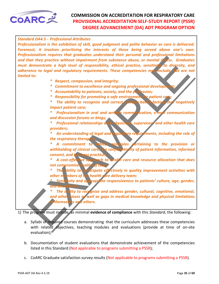<span id="page-34-0"></span>

Solutions in equive the United States and States and States and States and the practice without important from substance abuse, or mental in the state of the different of the different constant and reduced to heal of the c *Standard DA4.5 - Professional Attributes Professionalism is the exhibition of skill, good judgment and polite behavior as care is delivered. Foremost, it involves prioritizing the interests of those being served above one's own.*  Professionalism requires that graduates understand their personal and professional limitations *and that they practice without impairment from substance abuse, or mental illness. Graduates must demonstrate a high level of responsibility, ethical practice, sensitivity to diversity, and adherence to legal and regulatory requirements. These competencies may include, but are not limited to: \* Respect, compassion, and integrity;*  $*$  Commitment to excellence and ongoing professional development  *\* Accountability to patients, society, and the profession; \* Responsibility for promoting a safe environment for patient care; \* The ability to recognize and correct systems-based factors that negatively impact patient care; \* Professionalism in oral and written communication, e-mail communication and discussion forums or blogs; Professional relationships with physicians, supervisors and other health care providers; \* An understanding of legal and regulatory requirements, including the role of*  the respiratory therapis<sup>;</sup>  *\* A commitment to ethical principles pertaining to the provision or withholding of clinical care, the confidentiality of patient information, informed*   $consent,$  and business practice  *\* A cost-effective approach to health care and resource allocation that does*  **not compromise quality of care.** *The ability to participate effectively in quality improvement activities with other members of the health care delivery team; Sensitivity and appropriate responsiveness to patients' culture, age, gender, and disabilities; The ability to recognize and address gender, cultural, cognitive, emotional, and other biases as well as gaps in medical knowledge and physical limitations in themselves and others.* 1) The program must include, as minimal **evidence of compliance** with this *Standard*, the following:

- a. Syllabi of required courses demonstrating that the curriculum addresses these competencies with related objectives, teaching modules and evaluations (provide at time of on-site evaluation);
- b. Documentation of student evaluations that demonstrate achievement of the competencies listed in this Standard (Not applicable to programs submitting a PSSR);
- c. CoARC Graduate satisfaction survey results (Not applicable to programs submitting a PSSR).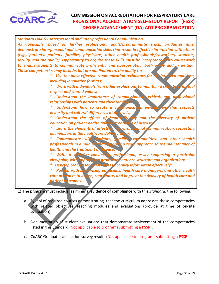<span id="page-35-0"></span>

| <b>Standard DA4.6 - Interpersonal and Inter-professional Communication</b>                                                              |
|-----------------------------------------------------------------------------------------------------------------------------------------|
| As applicable, based on his/her professional goals/programmatic track, graduates must                                                   |
| demonstrate interpersonal and communication skills that result in effective interaction with others                                     |
| (e.g., patients, patients' families, physicians, other health professionals/coworkers, students,                                        |
| faculty, and the public). Opportunity to acquire these skills must be incorporated into coursework                                      |
| to enable students to communicate proficiently and appropriately, both orally and in writing.                                           |
| These competencies may include, but are not limited to, the ability to:                                                                 |
| Use the most effective communication techniques for the intended audience,<br>∗                                                         |
| including innovative formats;                                                                                                           |
| ∗<br>Work with individuals from other professions to maintain a climate of mytual                                                       |
| respect and shared values;<br>Understand the importance of compassionate, ethical, and professional<br>∗                                |
| relationships with patients and their families;                                                                                         |
| Understand how to create a communication environment that respects                                                                      |
| diversity and cultural differences at all levels;                                                                                       |
| Understand the effects of health literary and the diversity of patient<br>∗                                                             |
| education on patient health and the treatment of disease                                                                                |
| Learn the elements of effective inter-professional communication, respecting                                                            |
| all members of the healthcare delivery team;                                                                                            |
| ∗<br>Communicate with patients, families, communities, and other health                                                                 |
| professionals in a manner that supports a team approach to the maintenance of                                                           |
| health and the treatment of disease;                                                                                                    |
| Write a cohesive convincing, professional, essay supporting a particular                                                                |
| viewpoint, with appropriate grammar, sentence structure and organization;                                                               |
| * Develop oral presentation skills to convey information effectively;                                                                   |
| * Partner with supervising physicians, health care managers, and other health                                                           |
| care providers to assess, coordinate, and improve the delivery of health care and                                                       |
| patient outcomes.                                                                                                                       |
| 1) The program must include, as minimal evidence of compliance with this Standard, the following:                                       |
|                                                                                                                                         |
| a. Syllabi of required courses demonstrating that the curriculum addresses these competencies                                           |
| with related objectives, teaching modules and evaluations (provide at time of on-site                                                   |
| evaluation);                                                                                                                            |
|                                                                                                                                         |
| b. Documentation of student evaluations that demonstrate achievement of the competencies<br>وزاويون عملها المعماو وأملك وزواعرون الممعو |

- a. Syllabi of required courses demonstrating that the curriculum addresses these competencies with related objectives, teaching modules and evaluations (provide at time of on-site evaluation);
- b. Documentation of student evaluations that demonstrate achievement of the competencies listed in this Standard (Not applicable to programs submitting a PSSR);
- c. CoARC Graduate satisfaction survey results (Not applicable to programs submitting a PSSR).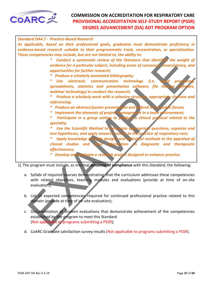<span id="page-36-0"></span>

| <b>Standard DA4.7 - Practice-Based Research</b>                                                                                                                                                                                                                                                                                                                                                                                                                                                                                                                                                                                                                                                                                                                                                                                                                                                                                                                                                                                                                                                                                                                                                                                                                    |
|--------------------------------------------------------------------------------------------------------------------------------------------------------------------------------------------------------------------------------------------------------------------------------------------------------------------------------------------------------------------------------------------------------------------------------------------------------------------------------------------------------------------------------------------------------------------------------------------------------------------------------------------------------------------------------------------------------------------------------------------------------------------------------------------------------------------------------------------------------------------------------------------------------------------------------------------------------------------------------------------------------------------------------------------------------------------------------------------------------------------------------------------------------------------------------------------------------------------------------------------------------------------|
| As applicable, based on their professional goals, graduates must demonstrate proficiency in<br>evidence-based research suitable to their programmatic track, concentration, or specialization.                                                                                                                                                                                                                                                                                                                                                                                                                                                                                                                                                                                                                                                                                                                                                                                                                                                                                                                                                                                                                                                                     |
|                                                                                                                                                                                                                                                                                                                                                                                                                                                                                                                                                                                                                                                                                                                                                                                                                                                                                                                                                                                                                                                                                                                                                                                                                                                                    |
| These competencies may include, but are not limited to, the ability to:<br>Conduct a systematic review of the literature that identifies the weight of<br>evidence for a particular subject, including areas of consensus, inconsistency, and<br>opportunities for further research;<br><b>Produce a scholarly annotated bibliography;</b><br>*<br>word processin<br>*<br>Use electronic communication technology (i.e.<br>spreadsheets, statistics and presentation software, file sharing software,<br>webinar technology) to conduct the research;<br>Produce a scholarly work with a cohesive structure, appropriate citations and<br>*<br>referencing;<br>Produce an abstract/poster presentation and defend it in a public forum;<br>Implement the elements of project management in a team environment;<br>*<br>Participate in a group setting to produce a clinical protocol related to the<br>specialty;<br>Use the Scientific Method to formulate appropriate questions, organize and<br>test hypotheses, and apply research results to the practice of respiratory care;<br>Apply knowledge of study designs and statistical methods to the appraisal of<br>*<br>clinical studies and other information on diagnostic and therapeutic<br>effectiveness; |
| Develop and evaluate a research project designed to enhance practice.                                                                                                                                                                                                                                                                                                                                                                                                                                                                                                                                                                                                                                                                                                                                                                                                                                                                                                                                                                                                                                                                                                                                                                                              |
| 1) The program must include, as minimal evidence of compliance with this Standard, the following:                                                                                                                                                                                                                                                                                                                                                                                                                                                                                                                                                                                                                                                                                                                                                                                                                                                                                                                                                                                                                                                                                                                                                                  |
| a. Syllabi of required courses demonstrating that the curriculum addresses these competencies<br>with related objectives, teaching modules and evaluations (provide at time of on-site<br>evaluation);                                                                                                                                                                                                                                                                                                                                                                                                                                                                                                                                                                                                                                                                                                                                                                                                                                                                                                                                                                                                                                                             |
| b. List of expected competencies required for continued professional practice related to this<br>domain (provide at time of on-site evaluation);                                                                                                                                                                                                                                                                                                                                                                                                                                                                                                                                                                                                                                                                                                                                                                                                                                                                                                                                                                                                                                                                                                                   |
| Documentation of student evaluations that demonstrate achievement of the competencies<br>C.<br>established by the program to meet this Standard<br>(Not applicable to programs submitting a PSSR);                                                                                                                                                                                                                                                                                                                                                                                                                                                                                                                                                                                                                                                                                                                                                                                                                                                                                                                                                                                                                                                                 |

- a. Syllabi of required courses demonstrating that the curriculum addresses these competencies with related objectives, teaching modules and evaluations (provide at time of on-site evaluation);
- b. List of expected competencies required for continued professional practice related to this domain (provide at time of on-site evaluation);
- c. Documentation of student evaluations that demonstrate achievement of the competencies established by the program to meet this Standard (Not applicable to programs submitting a PSSR);
- d. CoARC Graduate satisfaction survey results (Not applicable to programs submitting a PSSR).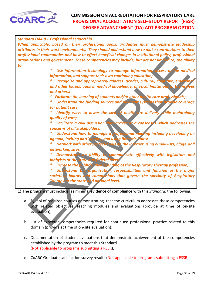<span id="page-37-0"></span>

| <b>Standard DA4.8 - Professional Leadership</b> |                                                                                                                                                       |
|-------------------------------------------------|-------------------------------------------------------------------------------------------------------------------------------------------------------|
|                                                 | When applicable, based on their professional goals, graduates must demonstrate leadership                                                             |
|                                                 | attributes in their work environments. They should understand how to make contributions to their                                                      |
|                                                 | professional communities and how to effect beneficial changes in institutional policy, professional                                                   |
|                                                 | organizations and government. These competencies may include, but are not limited to, the ability                                                     |
| to:                                             |                                                                                                                                                       |
| *                                               | Use information technology to manage information, access online medical                                                                               |
|                                                 | information, and support their own continuing education;                                                                                              |
| *                                               | Recognize and appropriately address: gender, cultural, cognitive, emotional,                                                                          |
|                                                 | and other biases; gaps in medical knowledge; physical limitations in themselves                                                                       |
|                                                 | and others;                                                                                                                                           |
|                                                 | * Facilitate the learning of students and/or other health care professionals;                                                                         |
| *                                               | Understand the funding sources and payment systems that provide coverage                                                                              |
|                                                 | for patient care;                                                                                                                                     |
|                                                 | Identify ways to lower the cost of healthcare delivery while maintaining                                                                              |
|                                                 | quality of care;                                                                                                                                      |
|                                                 | Facilitate a civil discussion that arrives at a consensus which addresses the                                                                         |
|                                                 | concerns of all stakeholders;                                                                                                                         |
| *                                               |                                                                                                                                                       |
|                                                 | Understand how to manage a professional megting including developing an                                                                               |
|                                                 | agenda, inviting participants, and using Robert's Rules;                                                                                              |
| *.                                              | Network with other professionals on the internet using e-mail lists, blogs, and                                                                       |
|                                                 | networking sites;                                                                                                                                     |
| *                                               | Demonstrate an ability to communicate effectively with legislators and                                                                                |
|                                                 | lobbyists at the state and federal level                                                                                                              |
| *                                               | Increase the public's understanding of the Respiratory Therapy profession;                                                                            |
| *                                               | Understand the organization, responsibilities and function of the major                                                                               |
|                                                 | societies, boards and commissions that govern the specialty of Respiratory                                                                            |
|                                                 | <b>Therapy at the state and national level.</b>                                                                                                       |
|                                                 |                                                                                                                                                       |
|                                                 | 1) The program must include, as minimal evidence of compliance with this Standard, the following:                                                     |
|                                                 |                                                                                                                                                       |
|                                                 | a. Syllabi of required courses demonstrating that the curriculum addresses these competencies                                                         |
|                                                 | with related objectives, teaching modules and evaluations (provide at time of on-site                                                                 |
| evaluation);                                    |                                                                                                                                                       |
|                                                 |                                                                                                                                                       |
|                                                 | b. List of expected competencies required for continued professional practice related to this<br>بالمتمثلة متناصيتهم وعناه المتمالس والممتلط والمأساب |

- a. Syllabi of required courses demonstrating that the curriculum addresses these competencies with related objectives, teaching modules and evaluations (provide at time of on-site evaluation);
- b. List of expected competencies required for continued professional practice related to this domain (provide at time of on-site evaluation);
- c. Documentation of student evaluations that demonstrate achievement of the competencies established by the program to meet this Standard (Not applicable to programs submitting a PSSR);
- d. CoARC Graduate satisfaction survey results (Not applicable to programs submitting a PSSR).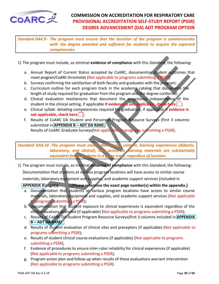<span id="page-38-0"></span>

*Standard DA4.9 - The program must ensure that the duration of the program is commensurate with the degree awarded and sufficient for students to acquire the expected competencies.* 

- 1) The program must include, as minimal **evidence of compliance** with this *Standard*, the following:
	- a. Annual Report of Current Status accepted by CoARC, documenting student outcomes that meet program/CoARC thresholds (Not applicable to programs submitting a PSSR);
	- b. Surveys confirming the satisfaction of both faculty and graduates with the program;
	- c. Curriculum outline for each program track in the academic catalog that documents the length of study required for graduation from the program and the degree conferred;
	- d. Clinical evaluation mechanisms that document the progressive independence of the student in the clinical setting, if applicable **If evidence is not applicable, check here** ;
	- e. Clinical syllabi detailing competencies required for graduation, if applicable **If evidence is not applicable, check here**  $\vert \cdot \vert$
	- f. Results of CoARC DA Student and Personnel Program Resource Surveys (first 3 columns submitted in **APPENDIX B – ADT DA RAM**);

Results of CoARC Graduate Surveys(Not applicable to programs submitting a PSSR).

*Standard DA4.10 -The program must ensure that course content, learning experiences (didactic, laboratory, and clinical), and access to learning materials are substantially equivalent for all students in a given track, regardless of location.*

Program must include, as minimal evidence of compliance with this Stondard, the following<br>Annual Report of Current Status accepted by CAARC, documenting student of the<br>meet program/COARC thresholds (Not applicable to progr 1) The program must include, as minimal **evidence of compliance** with this *Standard*, the following: Documentation that students at various program locations will have access to similar course materials, laboratory equipment and supplies, and academic support services (included in

**APPENDIX H page(s)** );**[Please reference the exact page number(s) within the appendix.]**

- a. Documentation that students at various program locations have access to similar course materials, laboratory equipment and supplies, and academic support services (Not applicable to programs submitting a PSSR);
- b. Documentation that student exposure to clinical experiences is equivalent regardless of the clinical locations attended (if applicable) (Not applicable to programs submitting a PSSR);
- c. Results of CoARC DA Student Program Resource Surveys(first 3 columns included in **APPENDIX B – ADT DA RAM**);
- d. Results of student evaluation of clinical sites and preceptors (if applicable) (Not applicable to programs submitting a PSSR);
- e. Results of student clinical course evaluations (if applicable) (Not applicable to programs submitting a PSSR);
- f. Evidence of procedures to ensure inter-rater reliability for clinical experiences (if applicable) (Not applicable to programs submitting a PSSR);
- g. Program action plan and follow-up when results of these evaluations warrant intervention (Not applicable to programs submitting a PSSR).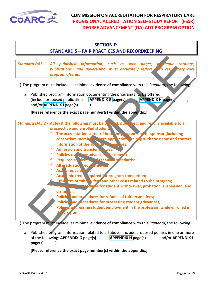<span id="page-39-0"></span>

#### **SECTION F:**

### **STANDARD 5 – FAIR PRACTICES AND RECORDKEEPING**

and DAS.1. All published information, such as web pages, a demic catalog publications and detertising, must accurately reflect the resp. for y corresponding the program must include a sminimal evidence of compliance with t *Standard DA5.1 - All published information, such as web pages, academic catalogs, publications and advertising, must accurately reflect each respiratory care program offered.* 

- 1) The program must include, as minimal **evidence of compliance** with this *Standard*, the following:
	- a. Published program information documenting the program(s) to be offered (include proposed publications in **APPENDIX G page(s)** ); **APPENDIX H page(s)** and/or **APPENDIX I page(s)** ).

**[Please reference the exact page number(s) within the appendix.]**

*Standard DA5.2 -* **At least the following must be defined, published, and readily available to all prospective and enrolled students:**

- *\** **The accreditation status of both the program and its sponsor (including consortium members where appropriate), along with the name and contact**  information of the accrediting agencies;
- *\** **Admission and transfer policies;**
- **Policies regarding advanced placement**
- *\** **Required academic and technical standards;**
- **All graduation require**
- **Academic cale**
- *\** **Academic credit required for program completion;**
- *Estimates of tuition, fees and other costs related to the program;*
- *<u>dures</u>* **for student withdrawal, probation, suspension, and dismissal;**
- **Policies and procedures for refunds of tuition and fees;**
- **Policies and procedures for processing student grievances;** 
	- **Policies addressing student employment in the profession while enrolled in the program.**

1) The program must include, as minimal **evidence of compliance** with this *Standard*, the following:

a. Published program information related to a-l above (include proposed policies in one or more of the following: **APPENDIX G page(s)** , **APPENDIX H page(s)** , and/or **APPENDIX I page(s) )**.

**[Please reference the exact page number(s) within the appendix.]**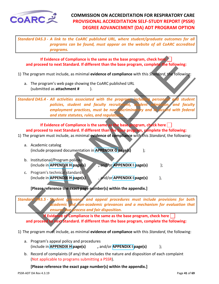<span id="page-40-0"></span>

*Standard DA5.3 - A link to the CoARC published URL, where student/graduate outcomes for all programs can be found, must appear on the website of all CoARC accredited programs.*

**If Evidence of Compliance is the same as the base program, check here and proceed to next Standard. If different than the base program, complete the following:**

- 1) The program must include, as minimal **evidence of compliance** with this *Standard*, the following:
	- a. The program's web page showing the CoARC published URL (submitted as **attachment #** ).

If Evidence of Compliance is the same as the base program, check here and proceed to next Standard. If different than the base program, complete the following:<br>
The program must include, as minimal evidence of compliance w *Standard DA5.4 - All activities associated with the program, including person policies, student and faculty recruitment, student admission, and faculty employment practices, must be non-discriminatory and in accord with federal*  **and state statutes, rules, and regulations.** 

**If Evidence of Compliance is the same as the base program, check here and proceed to next Standard. If different than the base program, complete the following:**

- 1) The program must include, as minimal **evidence of compliance** with this *Standard*, the following:
	- a. Academic catalog (include proposed documentation in **APPENDIX G page(s)** );
	- b. Institutional/Program policies (include in **APPENDIX H** page(s) , and/or **APPENDIX I** page(s)  $\qquad$  );
	- c. Program's technical standards (include in **APPENDIX H page(s)** , and/or **APPENDIX I page(s)** ),

**[Please reference the exact page number(s) within the appendix.]**

*Standard DA5.5 - Student grievance and appeal procedures must include provisions for both academic and non-academic grievances and a mechanism for evaluation that ensures due process and fair disposition.* 

**If Evidence of Compliance is the same as the base program, check here and proceed to next Standard. If different than the base program, complete the following:**

- 1) The program must include, as minimal **evidence of compliance** with this *Standard*, the following:
	- a. Program's appeal policy and procedures (include in **APPENDIX H page(s) ,** and/or **APPENDIX I page(s)** );
	- b. Record of complaints (if any) that includes the nature and disposition of each complaint (Not applicable to programs submitting a PSSR).

**[Please reference the exact page number(s) within the appendix.]**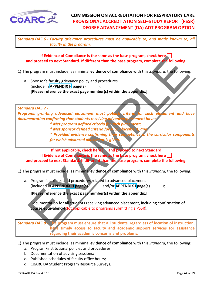<span id="page-41-0"></span>

*Standard DA5.6 - Faculty grievance procedures must be applicable to, and made known to, all faculty in the program.*

**If Evidence of Compliance is the same as the base program, check here and proceed to next Standard. If different than the base program, complete the following:**

- 1) The program must include, as minimal **evidence of compliance** with this *Standard*, the following:
	- a. Sponsor's faculty grievance policy and procedures (include in **APPENDIX H page(s)** ). **[Please reference the exact page number(s) within the appendix.]**

#### *Standard DA5.7 -*

Programs granting advanced placement must publish criteria for such placement and have *documentation confirming that students receiving advanced placement have:*

- *\* Met program defined criteria for such placement;*
- *\* Met sponsor defined criteria for such placement; and*

*\* Provided evidence confirming their competence in the curricular components*  for which advanced placement is given.

If two<br>record to next Standard. If different than the base program, complete the following:<br>
proced to next Standard. If different than the base program, complete the following:<br>
program must include, as minimal evidence o **If not applicable, check here and proceed to next Standard If Evidence of Compliance is the same as the base program, check here and proceed to next Standard. If different than the base program, complete the following:**

1) The program must include, as minimal **evidence of compliance** with this *Standard*, the following:

a. Program's policies and procedures related to advanced placement (included in **APPENDIX H page(s)** and/or **APPENDIX I page(s)** );

**[Please reference the exact page number(s) within the appendix.]**

Documentation for all students receiving advanced placement, including confirmation of course equivalency(Not applicable to programs submitting a PSSR).

*Standard DA5.8 -* **The program must ensure that all students, regardless of location of instruction, have timely access to faculty and academic support services for assistance regarding their academic concerns and problems.**

- 1) The program must include, as minimal **evidence of compliance** with this *Standard*, the following:
	- a. Program/institutional policies and procedures;
	- b. Documentation of advising sessions;
	- c. Published schedules of faculty office hours;
	- d. CoARC DA Student Program Resource Surveys.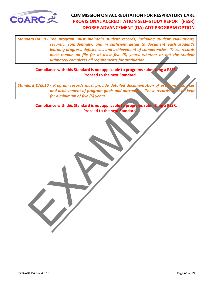<span id="page-42-0"></span>

*Standard DA5.9 - The program must maintain student records, including student evaluations, securely, confidentially, and in sufficient detail to document each student's learning progress, deficiencies and achievement of competencies. These records must remain on file for at least five (5) years, whether or not the student ultimately completes all requirements for graduation.*

**Compliance with this Standard is not applicable to programs submitting a PSSR. Proceed to the next Standard.**

Intensity completes all requirements for graduation.<br>
Compliance with this Standard is not applicable to programs submitting a PSS<br>
Proceed to the next Standard<br>
and OAS.10 - Program records must provide detailed documenta *Standard DA5.10 - Program records must provide detailed documentation of program and achievement of program goals and outcomes. These records for a minimum of five (5) years.*

**Compliance with this Standard is not applicable to programs submitting a PSSR. Proceed to the next Standard.**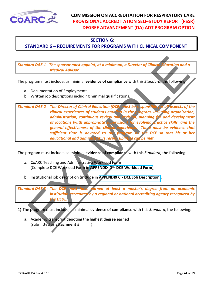<span id="page-43-0"></span>

#### **SECTION G:**

#### **STANDARD 6 – REQUIREMENTS FOR PROGRAMS WITH CLINICAL COMPONENT**

*Standard DA6.1 - The sponsor must appoint, at a minimum, a Director of Clinical Education and a Medical Advisor.*

The program must include, as minimal **evidence of compliance** with this *Standard*, the following:

- a. Documentation of Employment;
- b. Written job descriptions including minimal qualifications.

and D[A](#page-59-0)6.1 - The sponsor must appoint, at a minimum, a Director of Clinical division and a<br>
Medical Advisor.<br>
Togram must include, as minimal evidence of compliance with this Standard, the following<br>
Usercentration of Emplo *Standard DA6.2 - The Director of Clinical Education (DCE) must be responsible for all aspects of the clinical experiences of students enrolled in the program, including organization, administration, continuous review and revision, planning for and development*  of locations (with appropriate supervision) for evolving practice skills, and the *general effectiveness of the clinical experience. There must be evidence that sufficient time is devoted to the program by the DCE so that his or her educational and administrative responsibilities can be met.* 

The program must include, as minimal **evidence of compliance** with this *Standard*, the following:

- a. CoARC Teaching and Administrative Workload Form (Complete DCE Workload Form in **APPENDIX D – DCE Workload Form**);
- b. Institutional job description (include in **APPENDIX C DCE Job Description**).

*Standard DA6.3 - The DCE must have earned at least a master's degree from an academic institution accredited by a regional or national accrediting agency recognized by the USDE.*

1) The program must include, as minimal **evidence of compliance** with this *Standard*, the following:

a. Academic transcript denoting the highest degree earned (submitted as **attachment #** )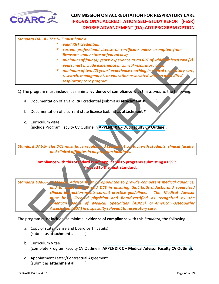<span id="page-44-0"></span>

| <b>Standard DA6.4 - The DCE must have a:</b> |                                                                                                                                                                                       |
|----------------------------------------------|---------------------------------------------------------------------------------------------------------------------------------------------------------------------------------------|
| *                                            | valid RRT credential;                                                                                                                                                                 |
| ∗                                            | current professional license or certificate unless exempted from<br>licensure under state or federal law;                                                                             |
|                                              | * minimum of four (4) years' experience as an RRT of which at least two (2)<br>years must include experience in clinical respiratory care;                                            |
|                                              | * minimum of two (2) years' experience teaching in <i>dimical respiratory care</i> ,<br>research, management, or education associated with an accredited<br>respiratory care program. |

1) The program must include, as minimal **evidence of compliance** with this *Standard*, the following:

- a. Documentation of a valid RRT credential (submit as **attachment #** );
- b. Documentation of a current state license (submit as **attachment #** );
- c. Curriculum vitae (include Program Faculty CV Outline in **APPENDIX C - DCE Faculty CV Outline**).

*Standard DA6.5- The DCE must have regular and consistent contact with students, clinical faculty, and clinical affiliates in all program locations.* 

**Compliance with this Standard is not applicable to programs submitting a PSSR. Proceed to the next Standard.**

The time time of the same three tends in the content of the state of the same that increase the content of the state of the state of the state of the state of the state of the state of the state of the state of the state o *Standard DA6.6- A Medical Advisor must be appointed to provide competent medical guidance, and to assist the PD and DCE in ensuring that both didactic and supervised clinical instruction meets current practice guidelines. The Medical Advisor must be a licensed physician and Board certified as recognized by the American Board of Medical Specialties (ABMS) or American Osteopathic Association (AOA) in a specialty relevant to respiratory care.* 

- a. Copy of state license and board certificate(s) (submit as **attachment #** );
- b. Curriculum Vitae (complete Program Faculty CV Outline in **[APPENDIX C – Medical Advisor Faculty CV Outline](#page-55-0)**);
- c. Appointment Letter/Contractual Agreement (submit as **attachment #** );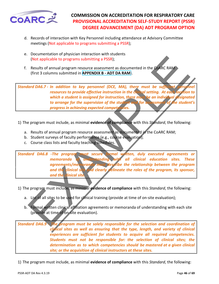<span id="page-45-0"></span>

- d. Records of interaction with Key Personnel including attendance at Advisory Committee meetings (Not applicable to programs submitting a PSSR);
- e. Documentation of physician interaction with students (Not applicable to programs submitting a PSSR);
- f. Results of annual program resource assessment as documented in the CoARC RAM (first 3 columns submitted in **APPENDIX B - ADT DA RAM**).

(Not applicable to program submitting a PSSR);<br>
Results of annual program submitting a PSSR);<br>
(first 3 columns submitted in APPENDIX B - ADT DA RAM).<br>
(first 3 columns submitted in APPENDIX B - ADT DA RAM).<br>
(first 3 colu *Standard DA6.7 - In addition to key personnel (DCE, MA), there must be sufficient resources to provide effective instruction in the clinical setting. At each location to which a student is assigned for instruction, there must be an individual designated to arrange for the supervision of the student and for assessment of the student's progress in achieving expected competencies.*

- 1) The program must include, as minimal **evidence of compliance** with this *Standard*, the following:
	- a. Results of annual program resource assessment as documented in the CoARC RAM;
	- b. Student surveys of faculty performance (e.g., course evaluation);
	- c. Course class lists and faculty teaching schedules.

*Standard DA6.8 -The program must secure formal written, duly executed agreements or memoranda of understanding with all clinical education sites. These agreements/memoranda must describe the relationship between the program and the clinical site and clearly delineate the roles of the program, its sponsor, and the clinical site.* 

1) The program must include, as minimal **evidence of compliance** with this *Standard*, the following:

- a. List of all sites to be used for clinical training (provide at time of on-site evaluation);
- b. Formal written clinical affiliation agreements or memoranda of understanding with each site (provide at time of on-site evaluation).

*Standard DA6.9 - The program must be solely responsible for the selection and coordination of clinical sites as well as ensuring that the type, length, and variety of clinical experiences are sufficient for students to acquire all required competencies. Students must not be responsible for: the selection of clinical sites; the determination as to which competencies should be mastered at a given clinical site; or the acquisition of clinical instructors at these sites.*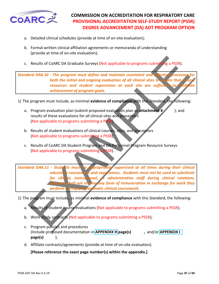<span id="page-46-0"></span>

- a. Detailed clinical schedules (provide at time of on-site evaluation);
- b. Formal written clinical affiliation agreements or memoranda of understanding (provide at time of on-site evaluation);
- c. Results of CoARC DA Graduate Surveys (Not applicable to programs submitting a PSSR).

*Standard DA6.10 - The program must define and maintain consistent and both the initial and ongoing evaluation of all clinical sites to ensure that clinical* resources and student supervision at each site are sufficient to *achievement of program goals.* 

- 1) The program must include, as minimal **evidence of compliance** with this *Standard*, the following:
	- a. Program evaluation plan (submit proposed evaluation plan as **attachment #** ); and results of these evaluations for all clinical sites and preceptors (Not applicable to programs submitting a PSSR);
	- b. Results of student evaluations of clinical courses, sites, and preceptors (Not applicable to programs submitting a PSSR);
	- c. Results of CoARC DA Student-Program and DA Personnel-Program Resource Surveys (Not applicable to programs submitting a PSSR).

Results of CoARC DA Graduate Surveys (Not applicable to programs submitting a PSSR).<br>
Term DAS.10 - The program must define and maintain consistent and a restitution of the third internal of all chinal sites to the third r *Standard DA6.11 - Students must be appropriately supervised at all times during their clinical education coursework and experiences. Students must not be used to substitute for clinical, instructional, or administrative staff during clinical rotations.*  **Shall not receive any form of remuneration in exchange for work they** *perform during programmatic clinical coursework.*

- 1) The program must include, as minimal **evidence of compliance** with this *Standard*, the following:
	- a. Results of student course evaluations (Not applicable to programs submitting a PSSR);
	- b. Work study contracts (Not applicable to programs submitting a PSSR);
	- c. Program policies and procedures (Include proposed documentation in **APPENDIX H page(s) ,** and/or **APPENDIX I page(s)** );
	- d. Affiliate contracts/agreements (provide at time of on-site evaluation).

**[Please reference the exact page number(s) within the appendix.]**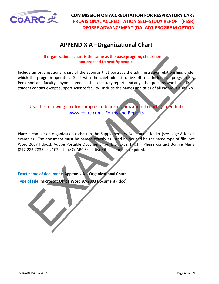<span id="page-47-0"></span>

# **APPENDIX A –Organizational Chart**

#### **If organizational chart is the same as the base program, check here and proceed to next Appendix.**

If organizational chart is the same as the base program, check here<br>
le an organizational chart of the sponsor that potentary the administrative relationships und<br>
the program operates. Start with the chief administrative Include an organizational chart of the sponsor that portrays the administrative relationships under which the program operates. Start with the chief administrative officer. Include all program Key Personnel and faculty, anyone named in the self-study report, and any other persons who have direct student contact except support science faculty. Include the names and titles of all individuals shown.

Use the following link for samples of blank organizational charts (if needed) www.coarc.com - Forms and Reports

Place a completed organizational chart in the Supplementary Documents folder (see page 8 for an example). The document must be named exactly as listed below and be the same type of file (not Word 2007 [.docx], Adobe Portable Document [.pdf], or Excel [xls]). Please contact Bonnie Marrs (817-283-2835 ext. 102) at the CoARC Executive Office if help is required.

#### **Exact name of document: Appendix A – Organizational Chart**

**Type of File: Microsoft Office Word 97-2003** Document (.doc)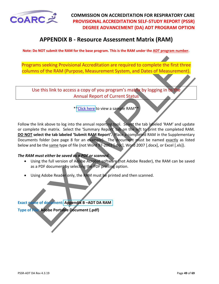<span id="page-48-0"></span>

# **APPENDIX B - Resource Assessment Matrix (RAM)**

**Note: Do NOT submit the RAM for the base program. This is the RAM under the ADT program number.**

Programs seeking Provisional Accreditation are required to complete the first three columns of the RAM (Purpose, Measurement System, and Dates of Measurement).

Use this link to access a copy of you program's matrix by logging in to the Annual Report of Current Status

\*\*Click here to view a sample RAM\*\*

Ignams seeking Provisional Accreditation are required to complete the first three<br>umns of the RAM (Purpose, Measurement System, and Dates of Measurement).<br>Use this link to access a copy of you program's matrix by logging i Follow the link above to log into the annual reporting tool. Select the tab labeled 'RAM' and update or complete the matrix. Select the 'Summary Report' tab on the left to print the completed RAM. **DO NOT select the tab labeled 'Submit RAM Report'.** Place a completed RAM in the Supplementary Documents folder (see page 8 for an example). The document must be named exactly as listed below and be the same type of file (not Word 97-2003 [.doc], Word 2007 [.docx], or Excel [.xls]).

#### *The RAM must either be saved as a PDF or scanned.*

- Using the full version of Adobe Acrobat software (not Adobe Reader), the RAM can be saved as a PDF document by selecting the PDF printing option.
- Using Adobe Reader only, the RAM must be printed and then scanned.

**Exact name of document: Appendix B –ADT DA RAM**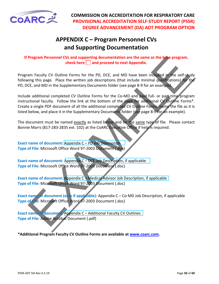<span id="page-49-0"></span>

# **APPENDIX C – Program Personnel CVs and Supporting Documentation**

**If Program Personnel CVs and supporting documentation are the same as the base program, check here | and proceed to next Appendix.** 

Program Faculty CV Outline Forms for the PD, DCE, and MD have been included in the self-study following this page. Place the written job descriptions (that include minimal qualifications) for the PD, DCE, and MD in the Supplementary Documents folder (see page 8-9 for an example).

**Program Personnel CVs and supporting documentation are the same as the histogram,**<br>
theck here  $\Box$  and proceed to next Appendix.<br>
Im Faculty CV Outline Forms for the PD, DCE, and MD have been inducted in the self-study<br> Include additional completed CV Outline Forms for the Co-MD and paid full- or part-time program instructional faculty. Follow the link at the bottom of the page for additional CV Outline Forms\*. Create a single PDF document of all the additional completed CV Outline Forms, name the file as it is listed below, and place it in the Supplementary Documents folder (see page 8-9 for an example).

The document must be named exactly as listed below and be the same type of file. Please contact Bonnie Marrs (817-283-2835 ext. 102) at the CoARC Executive Office if help is required.

**Exact name of document:** Appendix C – PD Job Description **Type of File:** Microsoft Office Word 97-2003 Document (.doc)

**Exact name of document:** Appendix C – DCE Job Description, if applicable **Type of File:** Microsoft Office Word 97-2003 Document (.doc)

**Exact name of document:** Appendix C – Medical Advisor Job Description, if applicable **Type of File:** Microsoft Office Word 97-2003 Document (.doc)

**Exact name of document (only if applicable):** Appendix C – Co-MD Job Description, if applicable **Type of File:** Microsoft Office Word 97-2003 Document (.doc)

**Exact name of document:** Appendix C – Additional Faculty CV Outlines **Type of File:** Adobe Acrobat Document (.pdf)

**\*Additional Program Faculty CV Outline Forms are available at [www.coarc.com.](https://www.coarc.com/)**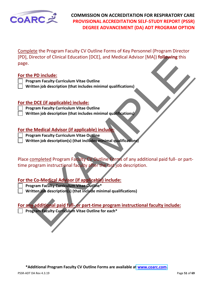

Complete the Program Faculty CV Outline Forms of Key Personnel (Program Director [PD], Director of Clinical Education [DCE], and Medical Advisor [MA]) **following** this page.

#### **For the PD include:**

- **Program Faculty Curriculum Vitae Outline**
- **Written job description (that includes minimal qualifications)**

#### **For the DCE (if applicable) include:**

**Program Faculty Curriculum Vitae Outline**

**Written job description (that includes minimal qualifications)**

#### **For the Medical Advisor (if applicable) include:**

**Program Faculty Curriculum Vitae Outline**

**Written job description(s) (that includes minimal qualifications)**

Director of Clinical Education [DCE], and Medical Advisor [MA]) following this<br>
the PD include:<br>
The DE (if applicable) include:<br>
Increase the DCE (if applicable) include:<br>
Increase the DCE (if applicable) include:<br>
Increa Place completed Program Faculty CV Outline Forms of any additional paid full- or parttime program instructional faculty after the last job description.

#### **For the Co-Medical Advisor (if applicable) include:**

- **Program Faculty Curriculum Vitae Outline\***
	- **Written job description(s) (that include minimal qualifications)**

## **For any additional paid full- or part-time program instructional faculty include:**

**Program Faculty Curriculum Vitae Outline for each\*** 

**\*Additional Program Faculty CV Outline Forms are available a[t www.coarc.com.](https://www.coarc.com/)**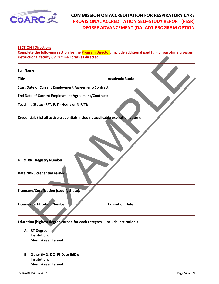<span id="page-51-0"></span>

**SECTION I Directions:** 

**Complete the following section for the Program Director. Include additional paid full- or part-time program instructional faculty CV Outline Forms as directed.**

| instructional faculty CV Outline Forms as directed.                                                                                                  |                         |
|------------------------------------------------------------------------------------------------------------------------------------------------------|-------------------------|
| <b>Full Name:</b>                                                                                                                                    |                         |
| <b>Title</b>                                                                                                                                         | <b>Academic Rank:</b>   |
| <b>Start Date of Current Employment Agreement/Contract:</b>                                                                                          |                         |
| End Date of Current Employment Agreement/Contract:                                                                                                   |                         |
| Teaching Status (F/T, P/T - Hours or % F/T):                                                                                                         |                         |
| Credentials (list all active credentials including applicable expiration dates):<br><b>NBRC RRT Registry Number:</b><br>Date NBRC credential earned: |                         |
| Licensure/Certification (specify State):<br>License/Certification Number:                                                                            | <b>Expiration Date:</b> |
| Education (highest degree earned for each category - include institution):                                                                           |                         |
| A. RT Degree:<br>Institution:<br><b>Month/Year Earned:</b>                                                                                           |                         |

**B. Other (MD, DO, PhD, or EdD): Institution: Month/Year Earned:**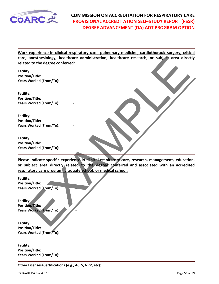

**Work experience in clinical respiratory care, pulmonary medicine, cardiothoracic surgery, critical care, anesthesiology, healthcare administration, healthcare research, or subject area directly related to the degree conferred:** 

**Facility: Position/Title: Years Worked (From/To):** -

**Facility: Position/Title: Years Worked (From/To):** -

**Facility: Position/Title: Years Worked (From/To):** -

**Facility: Position/Title: Years Worked (From/To):** -

anesthesiology, healthcare administration, healthcare research, or subjet area direct<br>
at to the degree conferred:<br>
y:<br>
y:<br>
y:<br>
y:<br>
worked (From/To):<br>
y:<br>
worked (From/To):<br>
y:<br>
worked (From/To):<br>
y:<br>
worked (From/To):<br>
y: **Please indicate specific experience in clinical respiratory care, research, management, education, or subject area directly related to the degree conferred and associated with an accredited respiratory care program, graduate school, or medical school:** 

**Facility: Position/Title: Years Worked (From/To):** -

**Facility: Position/Title: Years Worked (From/To):** -

**Facility: Position/Title: Years Worked (From/To):** -

**Facility: Position/Title: Years Worked (From/To):** -

**Other Licenses/Certifications (e.g., ACLS, NRP, etc):**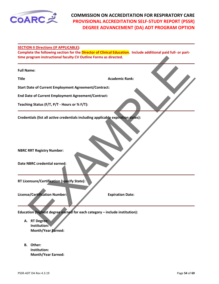<span id="page-53-0"></span>

**SECTION II Directions (IF APPLICABLE):** 

**Complete the following section for the Director of Clinical Education. Include additional paid full- or parttime program instructional faculty CV Outline Forms as directed.**

| time program instructional faculty CV Outline Forms as directed.                                                                                            |                         |
|-------------------------------------------------------------------------------------------------------------------------------------------------------------|-------------------------|
| <b>Full Name:</b>                                                                                                                                           |                         |
| <b>Title</b>                                                                                                                                                | <b>Academic Rank:</b>   |
| <b>Start Date of Current Employment Agreement/Contract:</b>                                                                                                 |                         |
| End Date of Current Employment Agreement/Contract:                                                                                                          |                         |
| Teaching Status (F/T, P/T - Hours or % F/T):                                                                                                                |                         |
| Credentials (list all active credentials including applicable expiration dates):<br><b>NBRC RRT Registry Number:</b><br><b>Date NBRC credential earned:</b> |                         |
| RT Licensure/Certification (specify State):                                                                                                                 |                         |
| <b>License/Certification Number:</b>                                                                                                                        | <b>Expiration Date:</b> |
| Education (highest degree earned for each category - include institution):                                                                                  |                         |
| A. RT Degree:<br>Institution:                                                                                                                               |                         |

- **A. RT Degree: Institution: Month/Year Earned:**
- **B. Other: Institution: Month/Year Earned:**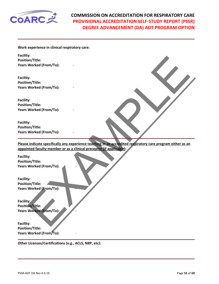

**Work experience in clinical respiratory care:**

**Facility: Position/Title: Years Worked (From/To):** -

**Facility: Position/Title: Years Worked (From/To):** -

**Facility: Position/Title: Years Worked (From/To):** -

**Facility: Position/Title: Years Worked (From/To):** -

y:<br>
Y:<br>
Worked (From/To):<br>
Y:<br>
Worked (From/To):<br>
Y:<br>
Worked (From/To):<br>
Worked (From/To):<br>
Worked (From/To):<br>
P:<br>
Worked (From/To):<br>
P:<br>
Worked (From/To):<br>
Worked (From/To):<br>
Worked (From/To):<br>
Worked (From/To):<br>
Y:<br>
Work **Please indicate specifically any experience teaching in an accredited respiratory care program either as an appointed faculty member or as a clinical preceptor (if applicable):** 

**Facility: Position/Title: Years Worked (From/To):** -

**Facility: Position/Title: Years Worked (From/To):** -

**Facility: Position/Title: Years Worked (From/To):** -

**Facility: Position/Title: Years Worked (From/To):** -

**Other Licenses/Certifications (e.g., ACLS, NRP, etc):**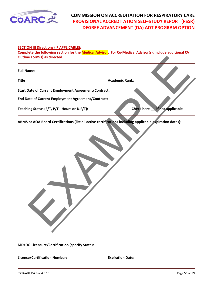<span id="page-55-0"></span>

#### **SECTION III Directions (IF APPLICABLE):**

Reform(s) as directed.<br>
Nademic Rank:<br>
Nademic Rank:<br>
Nate of Current Employment Agreement/Contract:<br>
Ing Status (F/T, P/T - Hours or % F/T):<br>
Or AOA Board Certifications (list all active certifications Including applicabl **Complete the following section for the Medical Advisor. For Co-Medical Advisor(s), include additional CV Outline Form(s) as directed.**

**Full Name:** 

**Title Academic Rank: Academic Rank: Academic Rank: Academic Rank:** 

**Start Date of Current Employment Agreement/Contract:** 

**End Date of Current Employment Agreement/Contract:** 

**Teaching Status (F/T, P/T - Hours or % F/T):** Check here  $\Box$  if not applicable

**ABMS or AOA Board Certifications (list all active certifications including applicable expiration dates):** 

**MD/DO Licensure/Certification (specify State):** 

**License/Certification Number: Expiration Date:** 

PSSR-ADT DA Rev 4.3.19 **PSSR-ADT DA Rev 4.3.19**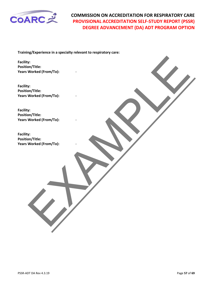

**Training/Experience in a specialty relevant to respiratory care:** 

**Facility: Position/Title: Years Worked (From/To):** -

Franchitle:<br>Morted (From/To):<br>Worked (From/To):<br>Worked (From/To):<br>Worked (From/To):<br>Worked (From/To):<br>Worked (From/To): **Facility: Position/Title: Years Worked (From/To):** -

**Facility: Position/Title: Years Worked (From/To):** -

**Facility: Position/Title: Years Worked (From/To):** -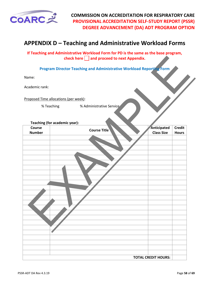<span id="page-57-0"></span>

# **APPENDIX D – Teaching and Administrative Workload Forms**

#### **If Teaching and Administrative Workload Form for PD is the same as the base program, check here and proceed to next Appendix.**

| Teaching (for academic year): |  |  |
|-------------------------------|--|--|
|-------------------------------|--|--|

|                         | check here $\Box$ and proceed to next Appendix.                             |                                  |                               |
|-------------------------|-----------------------------------------------------------------------------|----------------------------------|-------------------------------|
|                         | <b>Program Director Teaching and Administrative Workload Reporting Form</b> |                                  |                               |
| Name:                   |                                                                             |                                  |                               |
| Academic rank:          |                                                                             |                                  |                               |
|                         | Proposed Time allocations (per week):                                       |                                  |                               |
|                         | % Administrative Service<br>% Teaching                                      |                                  |                               |
|                         | Teaching (for academic year):                                               |                                  |                               |
| Course<br><b>Number</b> | <b>Course Title</b>                                                         | Anticipated<br><b>Class Size</b> | <b>Credit</b><br><b>Hours</b> |
|                         |                                                                             |                                  |                               |
|                         |                                                                             |                                  |                               |
|                         |                                                                             |                                  |                               |
|                         |                                                                             |                                  |                               |
|                         |                                                                             |                                  |                               |
|                         |                                                                             |                                  |                               |
|                         |                                                                             |                                  |                               |
|                         |                                                                             |                                  |                               |
|                         |                                                                             |                                  |                               |
|                         |                                                                             |                                  |                               |
|                         |                                                                             |                                  |                               |
|                         |                                                                             |                                  |                               |
|                         |                                                                             |                                  |                               |
|                         |                                                                             |                                  |                               |
|                         |                                                                             |                                  |                               |
|                         |                                                                             |                                  |                               |
|                         |                                                                             |                                  |                               |
|                         |                                                                             |                                  |                               |
|                         |                                                                             | <b>TOTAL CREDIT HOURS:</b>       |                               |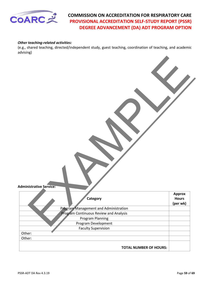

#### *Other teaching-related activities:*

(e.g., shared teaching, directed/independent study, guest teaching, coordination of teaching, and academic advising)

| <b>Administrative Service:</b>               |                                    |
|----------------------------------------------|------------------------------------|
|                                              |                                    |
| Category                                     | Approx<br><b>Hours</b><br>(per wk) |
| <b>Program Management and Administration</b> |                                    |
| Program Continuous Review and Analysis       |                                    |
| <b>Program Planning</b>                      |                                    |
| Program Development                          |                                    |
| <b>Faculty Supervision</b>                   |                                    |
| Other:                                       |                                    |
| Other:                                       |                                    |
| <b>TOTAL NUMBER OF HOURS:</b>                |                                    |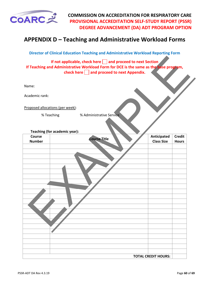<span id="page-59-0"></span>

# **APPENDIX D – Teaching and Administrative Workload Forms**

**Director of Clinical Education Teaching and Administrative Workload Reporting Form**

|                                  |                               | If not applicable, check here $\Box$ and proceed to next Section<br>If Teaching and Administrative Workload Form for DCE is the same as the base program, |  |                                  |               |
|----------------------------------|-------------------------------|-----------------------------------------------------------------------------------------------------------------------------------------------------------|--|----------------------------------|---------------|
|                                  |                               | check here and proceed to next Appendix.                                                                                                                  |  |                                  |               |
|                                  |                               |                                                                                                                                                           |  |                                  |               |
| Name:                            |                               |                                                                                                                                                           |  |                                  |               |
| Academic rank:                   |                               |                                                                                                                                                           |  |                                  |               |
|                                  |                               |                                                                                                                                                           |  |                                  |               |
| Proposed allocations (per week): |                               |                                                                                                                                                           |  |                                  |               |
|                                  | % Teaching                    | % Administrative Service                                                                                                                                  |  |                                  |               |
|                                  |                               |                                                                                                                                                           |  |                                  |               |
|                                  |                               |                                                                                                                                                           |  |                                  |               |
| Course                           | Teaching (for academic year): |                                                                                                                                                           |  |                                  | <b>Credit</b> |
| <b>Number</b>                    |                               | <b>Course Title</b>                                                                                                                                       |  | Anticipated<br><b>Class Size</b> | <b>Hours</b>  |
|                                  |                               |                                                                                                                                                           |  |                                  |               |
|                                  |                               |                                                                                                                                                           |  |                                  |               |
|                                  |                               |                                                                                                                                                           |  |                                  |               |
|                                  |                               |                                                                                                                                                           |  |                                  |               |
|                                  |                               |                                                                                                                                                           |  |                                  |               |
|                                  |                               |                                                                                                                                                           |  |                                  |               |
|                                  |                               |                                                                                                                                                           |  |                                  |               |
|                                  |                               |                                                                                                                                                           |  |                                  |               |
|                                  |                               |                                                                                                                                                           |  |                                  |               |
|                                  |                               |                                                                                                                                                           |  |                                  |               |
|                                  |                               |                                                                                                                                                           |  |                                  |               |
|                                  |                               |                                                                                                                                                           |  |                                  |               |
|                                  |                               |                                                                                                                                                           |  |                                  |               |
|                                  |                               |                                                                                                                                                           |  |                                  |               |
|                                  |                               |                                                                                                                                                           |  |                                  |               |
|                                  |                               |                                                                                                                                                           |  |                                  |               |
|                                  |                               |                                                                                                                                                           |  |                                  |               |
|                                  |                               |                                                                                                                                                           |  |                                  |               |
|                                  |                               |                                                                                                                                                           |  |                                  |               |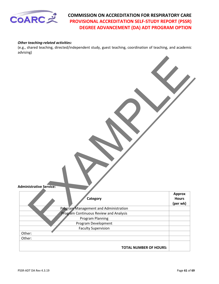

#### *Other teaching-related activities:*

(e.g., shared teaching, directed/independent study, guest teaching, coordination of teaching, and academic advising)

| <b>Administrative Service:</b><br>Category<br><b>Program Management and Administration</b> | Approx<br><b>Hours</b><br>(per wk) |
|--------------------------------------------------------------------------------------------|------------------------------------|
|                                                                                            |                                    |
| Program Continuous Review and Analysis                                                     |                                    |
| <b>Program Planning</b>                                                                    |                                    |
| Program Development                                                                        |                                    |
| <b>Faculty Supervision</b>                                                                 |                                    |
|                                                                                            |                                    |
|                                                                                            |                                    |
| Other:<br>Other:                                                                           |                                    |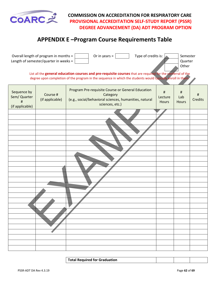<span id="page-61-0"></span>

# **APPENDIX E –Program Course Requirements Table**

|                                                     | Overall length of program in months =<br>Length of semester/quarter in weeks = | Or in years $=$<br>Type of credits is:                                                                                                                                                                                     |                              | Semester<br>Quarter<br>Other |                     |
|-----------------------------------------------------|--------------------------------------------------------------------------------|----------------------------------------------------------------------------------------------------------------------------------------------------------------------------------------------------------------------------|------------------------------|------------------------------|---------------------|
|                                                     |                                                                                | List all the general education courses and pre-requisite courses that are required for the conferral of the<br>degree upon completion of the program in the sequence in which the students would typically enroll in them. |                              |                              |                     |
| Sequence by<br>Sem/ Quarter<br>#<br>(if applicable) | Course #<br>(if applicable)                                                    | Program Pre-requisite Course or General Education<br>Category<br>(e.g., social/behavioral sciences, humanities, natural<br>sciences, etc.)                                                                                 | $\sharp$<br>Lecture<br>Hours | #<br>Lab<br><b>Hours</b>     | #<br><b>Credits</b> |
|                                                     |                                                                                |                                                                                                                                                                                                                            |                              |                              |                     |
|                                                     |                                                                                |                                                                                                                                                                                                                            |                              |                              |                     |
|                                                     |                                                                                |                                                                                                                                                                                                                            |                              |                              |                     |
|                                                     |                                                                                |                                                                                                                                                                                                                            |                              |                              |                     |
|                                                     |                                                                                |                                                                                                                                                                                                                            |                              |                              |                     |
|                                                     |                                                                                |                                                                                                                                                                                                                            |                              |                              |                     |
|                                                     |                                                                                |                                                                                                                                                                                                                            |                              |                              |                     |
|                                                     |                                                                                |                                                                                                                                                                                                                            |                              |                              |                     |
|                                                     |                                                                                |                                                                                                                                                                                                                            |                              |                              |                     |

**Total Required for Graduation**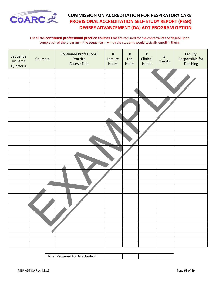

#### List all the **continued professional practice courses** that are required for the conferral of the degree upon completion of the program in the sequence in which the students would typically enroll in them.

| Sequence<br>by Sem/<br>Quarter # | Course # | <b>Continued Professional</b><br>Practice<br>Course Title | $\#$<br>Lecture<br>Hours | $\#$<br>Lab<br>Hours | $\#$<br>Clinical<br>Hours | $\#$<br>Credits | Faculty<br>Responsible for<br>Teaching |
|----------------------------------|----------|-----------------------------------------------------------|--------------------------|----------------------|---------------------------|-----------------|----------------------------------------|
|                                  |          |                                                           |                          |                      |                           |                 |                                        |
|                                  |          |                                                           |                          |                      |                           |                 |                                        |
|                                  |          |                                                           |                          |                      |                           |                 |                                        |
|                                  |          |                                                           |                          |                      |                           |                 |                                        |
|                                  |          |                                                           |                          |                      |                           |                 |                                        |
|                                  |          |                                                           |                          |                      |                           |                 |                                        |
|                                  |          |                                                           |                          |                      |                           |                 |                                        |
|                                  |          |                                                           |                          |                      |                           |                 |                                        |
|                                  |          |                                                           |                          |                      |                           |                 |                                        |
|                                  |          |                                                           |                          |                      |                           |                 |                                        |
|                                  |          |                                                           |                          |                      |                           |                 |                                        |
|                                  |          |                                                           |                          |                      |                           |                 |                                        |
|                                  |          |                                                           |                          |                      |                           |                 |                                        |
|                                  |          |                                                           |                          |                      |                           |                 |                                        |
|                                  |          |                                                           |                          |                      |                           |                 |                                        |
|                                  |          |                                                           |                          |                      |                           |                 |                                        |
|                                  |          |                                                           |                          |                      |                           |                 |                                        |
|                                  |          |                                                           |                          |                      |                           |                 |                                        |
|                                  |          |                                                           |                          |                      |                           |                 |                                        |
|                                  |          |                                                           |                          |                      |                           |                 |                                        |
|                                  |          |                                                           |                          |                      |                           |                 |                                        |
|                                  |          |                                                           |                          |                      |                           |                 |                                        |
|                                  |          |                                                           |                          |                      |                           |                 |                                        |
|                                  |          |                                                           |                          |                      |                           |                 |                                        |
|                                  |          |                                                           |                          |                      |                           |                 |                                        |
|                                  |          |                                                           |                          |                      |                           |                 |                                        |
|                                  |          |                                                           |                          |                      |                           |                 |                                        |
|                                  |          |                                                           |                          |                      |                           |                 |                                        |
|                                  |          |                                                           |                          |                      |                           |                 |                                        |
|                                  |          |                                                           |                          |                      |                           |                 |                                        |
|                                  |          |                                                           |                          |                      |                           |                 |                                        |
|                                  |          |                                                           |                          |                      |                           |                 |                                        |
|                                  |          |                                                           |                          |                      |                           |                 |                                        |
|                                  |          |                                                           |                          |                      |                           |                 |                                        |
|                                  |          |                                                           |                          |                      |                           |                 |                                        |
|                                  |          |                                                           |                          |                      |                           |                 |                                        |

| Total Required for Graduation: |  |  |
|--------------------------------|--|--|
|                                |  |  |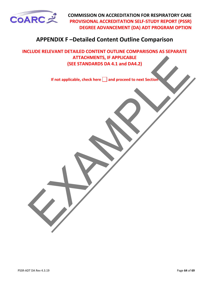<span id="page-63-0"></span>

# **APPENDIX F –Detailed Content Outline Comparison**

ATTACHMENTS, IF APPLICABLE<br>
(SEE STANDARDS DA 4.1 and DA4.2)<br>
If not applicable, check here  $\Box$  and proceed to next Section **INCLUDE RELEVANT DETAILED CONTENT OUTLINE COMPARISONS AS SEPARATE ATTACHMENTS, IF APPLICABLE (SEE STANDARDS DA 4.1 and DA4.2)**

**If not applicable, check here and proceed to next Section**

PSSR-ADT DA Rev 4.3.19 **Page 64** of **69**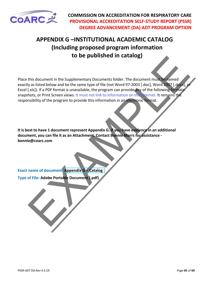<span id="page-64-0"></span>

# **APPENDIX G –INSTITUTIONAL ACADEMIC CATALOG (Including proposed program information to be published in catalog)**

this document in the Supplementary Documents folder. The document must be rained<br>y as listed below and be the same type of file (not Word 37-2003). (d.or.) Were the same through the same type of file (not two disponsibilit Place this document in the Supplementary Documents folder. The document must be named exactly as listed below and be the same type of file (not Word 97-2003 [.doc], Word 2007 [.docx], or Excel [.xls]). If a PDF format is unavailable, the program can provide any of the following formats: snapshots, or Print Screen views. It must not link to information on the Internet. It remains the responsibility of the program to provide this information in an electronic format.

**It is best to have 1 document represent Appendix G. If you have evidence in an additional document, you can file it as an Attachment. Contact Bonnie Marrs for assistance bonnie@coarc.com**

**Exact name of document: Appendix G – Catalog**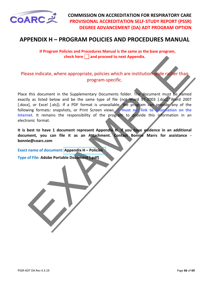<span id="page-65-0"></span>

# **APPENDIX H – PROGRAM POLICIES AND PROCEDURES MANUAL**

 **If Program Policies and Procedures Manual is the same as the base program, check here and proceed to next Appendix.**

## Please indicate, where appropriate, policies which are institution-wide rather than program-specific.

theck here  $\Box$  and proceed to next Appendix.<br>
ase indicate, where appropriate, policies which are institution wide rather than<br>
program-specific.<br>
this document in the supplementary bocuments folder. The document must be Place this document in the Supplementary Documents folder. The document must be named exactly as listed below and be the same type of file (not Word 97-2003 [.doc], Word 2007 [.docx], or Excel [.xls]). If a PDF format is unavailable, the program can provide any of the following formats: snapshots, or Print Screen views. **It must not link to information on the** Internet. It remains the responsibility of the program to provide this information in an electronic format.

**It is best to have 1 document represent Appendix H. If you have evidence in an additional document, you can file it as an Attachment. Contact Bonnie Marrs for assistance bonnie@coarc.com**

**Exact name of document: Appendix H – Policies**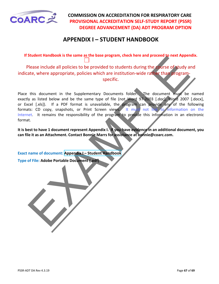<span id="page-66-0"></span>

# **APPENDIX I – STUDENT HANDBOOK**

**If Student Handbook is the same as the base program, check here and proceed to next Appendix.** 

Please include all policies to be provided to students during the course of study and indicate, where appropriate, policies which are institution-wide rather than programspecific.

Student Randook is the same to based by the based of the Authority of the control of the control of the control of the control of the control of the control of the control of the control of the control of the control of th Place this document in the Supplementary Documents folder. The document must be named exactly as listed below and be the same type of file (not Word 97-2003 [.doc], Word 2007 [.docx], or Excel [.xls]). If a PDF format is unavailable, the program can provide any of the following formats: CD copy, snapshots, or Print Screen views. It must not link to information on the Internet. It remains the responsibility of the program to provide this information in an electronic format.

**It is best to have 1 document represent Appendix I. If you have evidence in an additional document, you can file it as an Attachment. Contact Bonnie Marrs for assistance at bonnie@coarc.com.**

**Exact name of document: Appendix I – Student Handbook**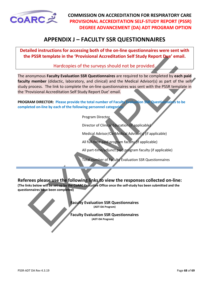<span id="page-67-0"></span>

# **APPENDIX J – FACULTY SSR QUESTIONNAIRES**

**Detailed instructions for accessing both of the on-line questionnaires were sent with the PSSR template in the 'Provisional Accreditation Self Study Report Due' email.** 

Hardcopies of the surveys should not be provided.

e PSSR template in the "Provisional Accreditation Self Study Report Due" email.<br>
Hardcopies of the surveys should not be provided.<br>
monoymous Faculty Wataton SSR Questionnaires are required to be completed by each paid<br>
y The anonymous **Faculty Evaluation SSR Questionnaires** are required to be completed by **each paid faculty member** (didactic, laboratory, and clinical) and the Medical Advisor(s) as part of the self study process. The link to complete the on-line questionnaires was sent with the PSSR template in the 'Provisional Accreditation Self Study Report Due' email.

**PROGRAM DIRECTOR: Please provide the total number of Faculty Evaluation SSR Questionnaires to be completed on-line by each of the following personnel categories** 

Program Director

Director of Clinical Education (if applicable)

Medical Advisor/Co-Medical Advisor(s) (if applicable)

All full-time paid program faculty (if applicable)

All part-time/adjunct paid program faculty (if applicable)

Total number of Faculty Evaluation SSR Questionnaires

**Referees please use the following links to view the responses collected on-line:**

**(The links below will be set up by the CoARC Executive Office once the self-study has been submitted and the questionnaires have been completed)**

> **Faculty Evaluation SSR Questionnaires (ADT-DA Program)**

> **Faculty Evaluation SSR Questionnaires (ADT-DA Program)**